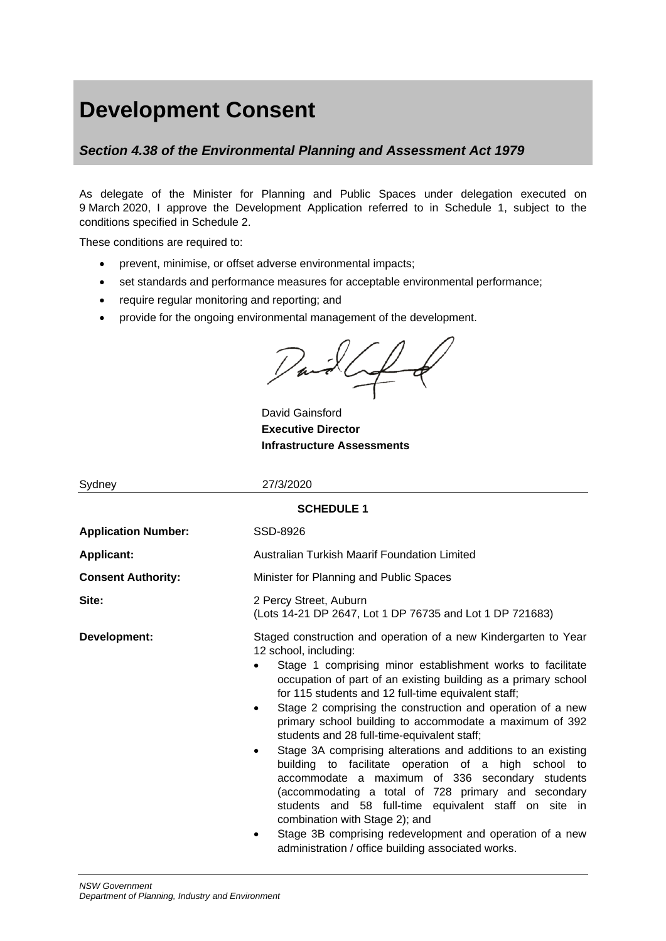# **Development Consent**

# *Section 4.38 of the Environmental Planning and Assessment Act 1979*

As delegate of the Minister for Planning and Public Spaces under delegation executed on 9 March 2020, I approve the Development Application referred to in Schedule 1, subject to the conditions specified in Schedule 2.

These conditions are required to:

- prevent, minimise, or offset adverse environmental impacts;
- set standards and performance measures for acceptable environmental performance;
- require regular monitoring and reporting; and
- provide for the ongoing environmental management of the development.

Var

David Gainsford **Executive Director Infrastructure Assessments**

| Sydney                     | 27/3/2020                                                                                                                                                                                                                                                                                                                                                                                                                                                                                                                                                                                                                                                                                                                                                                                                                                                                                                                             |  |  |  |  |  |  |
|----------------------------|---------------------------------------------------------------------------------------------------------------------------------------------------------------------------------------------------------------------------------------------------------------------------------------------------------------------------------------------------------------------------------------------------------------------------------------------------------------------------------------------------------------------------------------------------------------------------------------------------------------------------------------------------------------------------------------------------------------------------------------------------------------------------------------------------------------------------------------------------------------------------------------------------------------------------------------|--|--|--|--|--|--|
| <b>SCHEDULE 1</b>          |                                                                                                                                                                                                                                                                                                                                                                                                                                                                                                                                                                                                                                                                                                                                                                                                                                                                                                                                       |  |  |  |  |  |  |
| <b>Application Number:</b> | SSD-8926                                                                                                                                                                                                                                                                                                                                                                                                                                                                                                                                                                                                                                                                                                                                                                                                                                                                                                                              |  |  |  |  |  |  |
| <b>Applicant:</b>          | Australian Turkish Maarif Foundation Limited                                                                                                                                                                                                                                                                                                                                                                                                                                                                                                                                                                                                                                                                                                                                                                                                                                                                                          |  |  |  |  |  |  |
| <b>Consent Authority:</b>  | Minister for Planning and Public Spaces                                                                                                                                                                                                                                                                                                                                                                                                                                                                                                                                                                                                                                                                                                                                                                                                                                                                                               |  |  |  |  |  |  |
| Site:                      | 2 Percy Street, Auburn<br>(Lots 14-21 DP 2647, Lot 1 DP 76735 and Lot 1 DP 721683)                                                                                                                                                                                                                                                                                                                                                                                                                                                                                                                                                                                                                                                                                                                                                                                                                                                    |  |  |  |  |  |  |
| Development:               | Staged construction and operation of a new Kindergarten to Year<br>12 school, including:<br>Stage 1 comprising minor establishment works to facilitate<br>occupation of part of an existing building as a primary school<br>for 115 students and 12 full-time equivalent staff;<br>Stage 2 comprising the construction and operation of a new<br>$\bullet$<br>primary school building to accommodate a maximum of 392<br>students and 28 full-time-equivalent staff;<br>Stage 3A comprising alterations and additions to an existing<br>$\bullet$<br>building to facilitate operation of a high school to<br>accommodate a maximum of 336 secondary students<br>(accommodating a total of 728 primary and secondary<br>students and 58 full-time equivalent staff on site in<br>combination with Stage 2); and<br>Stage 3B comprising redevelopment and operation of a new<br>٠<br>administration / office building associated works. |  |  |  |  |  |  |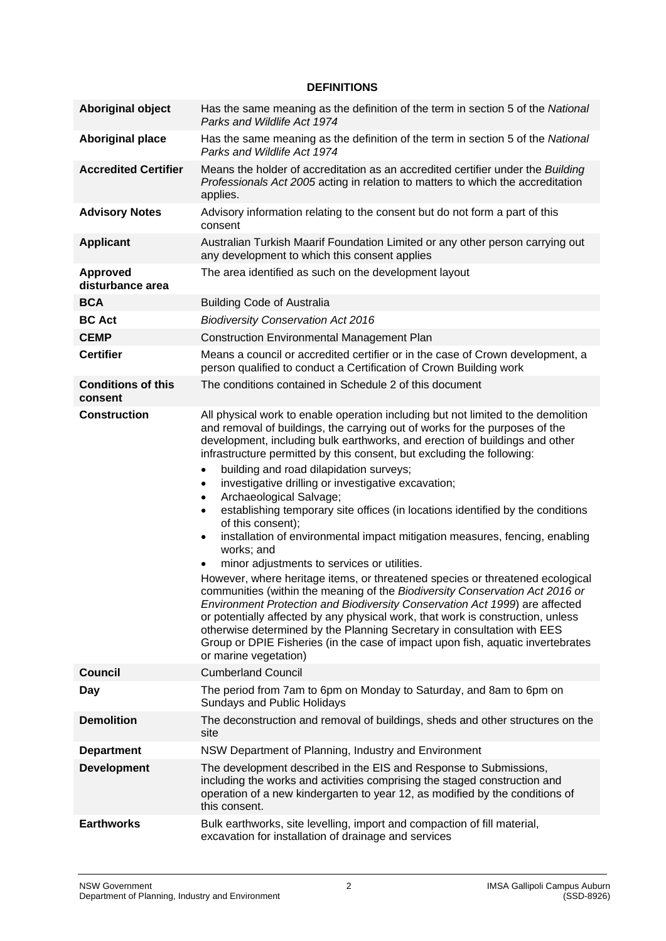#### **DEFINITIONS**

| <b>Aboriginal object</b>             | Has the same meaning as the definition of the term in section 5 of the National<br>Parks and Wildlife Act 1974                                                                                                                                                                                                                                                                                                                                                                                                                                                                                                                                                                                                                                                                                                                                                                                                                                                                                                                                                                                                                                                                                                                                                |  |  |  |
|--------------------------------------|---------------------------------------------------------------------------------------------------------------------------------------------------------------------------------------------------------------------------------------------------------------------------------------------------------------------------------------------------------------------------------------------------------------------------------------------------------------------------------------------------------------------------------------------------------------------------------------------------------------------------------------------------------------------------------------------------------------------------------------------------------------------------------------------------------------------------------------------------------------------------------------------------------------------------------------------------------------------------------------------------------------------------------------------------------------------------------------------------------------------------------------------------------------------------------------------------------------------------------------------------------------|--|--|--|
| <b>Aboriginal place</b>              | Has the same meaning as the definition of the term in section 5 of the National<br>Parks and Wildlife Act 1974                                                                                                                                                                                                                                                                                                                                                                                                                                                                                                                                                                                                                                                                                                                                                                                                                                                                                                                                                                                                                                                                                                                                                |  |  |  |
| <b>Accredited Certifier</b>          | Means the holder of accreditation as an accredited certifier under the Building<br>Professionals Act 2005 acting in relation to matters to which the accreditation<br>applies.                                                                                                                                                                                                                                                                                                                                                                                                                                                                                                                                                                                                                                                                                                                                                                                                                                                                                                                                                                                                                                                                                |  |  |  |
| <b>Advisory Notes</b>                | Advisory information relating to the consent but do not form a part of this<br>consent                                                                                                                                                                                                                                                                                                                                                                                                                                                                                                                                                                                                                                                                                                                                                                                                                                                                                                                                                                                                                                                                                                                                                                        |  |  |  |
| <b>Applicant</b>                     | Australian Turkish Maarif Foundation Limited or any other person carrying out<br>any development to which this consent applies                                                                                                                                                                                                                                                                                                                                                                                                                                                                                                                                                                                                                                                                                                                                                                                                                                                                                                                                                                                                                                                                                                                                |  |  |  |
| <b>Approved</b><br>disturbance area  | The area identified as such on the development layout                                                                                                                                                                                                                                                                                                                                                                                                                                                                                                                                                                                                                                                                                                                                                                                                                                                                                                                                                                                                                                                                                                                                                                                                         |  |  |  |
| <b>BCA</b>                           | <b>Building Code of Australia</b>                                                                                                                                                                                                                                                                                                                                                                                                                                                                                                                                                                                                                                                                                                                                                                                                                                                                                                                                                                                                                                                                                                                                                                                                                             |  |  |  |
| <b>BC Act</b>                        | <b>Biodiversity Conservation Act 2016</b>                                                                                                                                                                                                                                                                                                                                                                                                                                                                                                                                                                                                                                                                                                                                                                                                                                                                                                                                                                                                                                                                                                                                                                                                                     |  |  |  |
| <b>CEMP</b>                          | <b>Construction Environmental Management Plan</b>                                                                                                                                                                                                                                                                                                                                                                                                                                                                                                                                                                                                                                                                                                                                                                                                                                                                                                                                                                                                                                                                                                                                                                                                             |  |  |  |
| <b>Certifier</b>                     | Means a council or accredited certifier or in the case of Crown development, a<br>person qualified to conduct a Certification of Crown Building work                                                                                                                                                                                                                                                                                                                                                                                                                                                                                                                                                                                                                                                                                                                                                                                                                                                                                                                                                                                                                                                                                                          |  |  |  |
| <b>Conditions of this</b><br>consent | The conditions contained in Schedule 2 of this document                                                                                                                                                                                                                                                                                                                                                                                                                                                                                                                                                                                                                                                                                                                                                                                                                                                                                                                                                                                                                                                                                                                                                                                                       |  |  |  |
| <b>Construction</b>                  | All physical work to enable operation including but not limited to the demolition<br>and removal of buildings, the carrying out of works for the purposes of the<br>development, including bulk earthworks, and erection of buildings and other<br>infrastructure permitted by this consent, but excluding the following:<br>building and road dilapidation surveys;<br>$\bullet$<br>investigative drilling or investigative excavation;<br>$\bullet$<br>Archaeological Salvage;<br>establishing temporary site offices (in locations identified by the conditions<br>of this consent);<br>installation of environmental impact mitigation measures, fencing, enabling<br>works; and<br>minor adjustments to services or utilities.<br>However, where heritage items, or threatened species or threatened ecological<br>communities (within the meaning of the Biodiversity Conservation Act 2016 or<br>Environment Protection and Biodiversity Conservation Act 1999) are affected<br>or potentially affected by any physical work, that work is construction, unless<br>otherwise determined by the Planning Secretary in consultation with EES<br>Group or DPIE Fisheries (in the case of impact upon fish, aquatic invertebrates<br>or marine vegetation) |  |  |  |
| <b>Council</b>                       | <b>Cumberland Council</b>                                                                                                                                                                                                                                                                                                                                                                                                                                                                                                                                                                                                                                                                                                                                                                                                                                                                                                                                                                                                                                                                                                                                                                                                                                     |  |  |  |
| Day                                  | The period from 7am to 6pm on Monday to Saturday, and 8am to 6pm on<br><b>Sundays and Public Holidays</b>                                                                                                                                                                                                                                                                                                                                                                                                                                                                                                                                                                                                                                                                                                                                                                                                                                                                                                                                                                                                                                                                                                                                                     |  |  |  |
| <b>Demolition</b>                    | The deconstruction and removal of buildings, sheds and other structures on the<br>site                                                                                                                                                                                                                                                                                                                                                                                                                                                                                                                                                                                                                                                                                                                                                                                                                                                                                                                                                                                                                                                                                                                                                                        |  |  |  |
| <b>Department</b>                    | NSW Department of Planning, Industry and Environment                                                                                                                                                                                                                                                                                                                                                                                                                                                                                                                                                                                                                                                                                                                                                                                                                                                                                                                                                                                                                                                                                                                                                                                                          |  |  |  |
| <b>Development</b>                   | The development described in the EIS and Response to Submissions,<br>including the works and activities comprising the staged construction and<br>operation of a new kindergarten to year 12, as modified by the conditions of<br>this consent.                                                                                                                                                                                                                                                                                                                                                                                                                                                                                                                                                                                                                                                                                                                                                                                                                                                                                                                                                                                                               |  |  |  |
| <b>Earthworks</b>                    | Bulk earthworks, site levelling, import and compaction of fill material,<br>excavation for installation of drainage and services                                                                                                                                                                                                                                                                                                                                                                                                                                                                                                                                                                                                                                                                                                                                                                                                                                                                                                                                                                                                                                                                                                                              |  |  |  |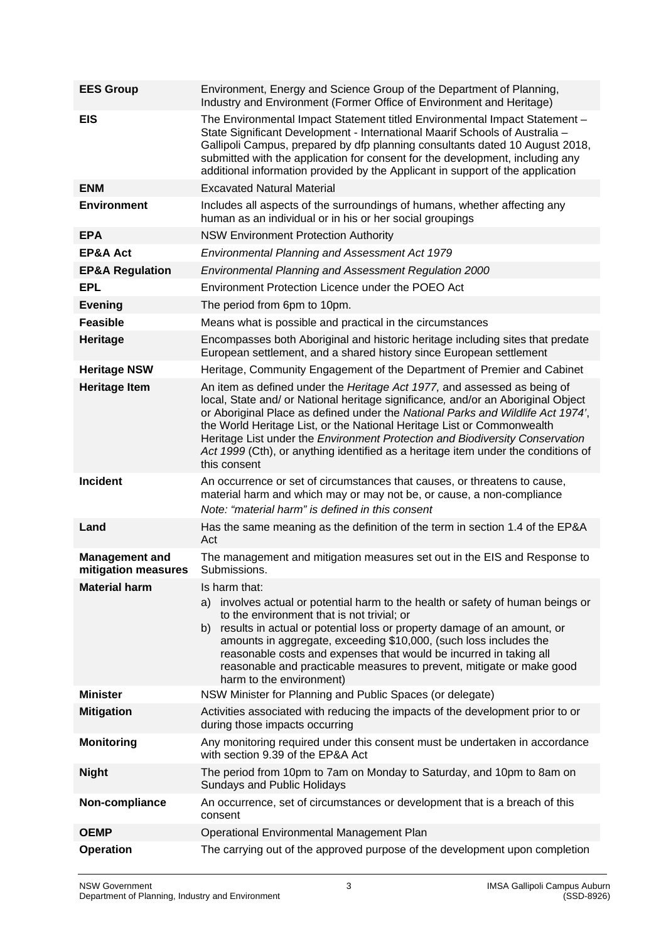| <b>EES Group</b>                             | Environment, Energy and Science Group of the Department of Planning,<br>Industry and Environment (Former Office of Environment and Heritage)                                                                                                                                                                                                                                                                                                                                                                   |  |  |
|----------------------------------------------|----------------------------------------------------------------------------------------------------------------------------------------------------------------------------------------------------------------------------------------------------------------------------------------------------------------------------------------------------------------------------------------------------------------------------------------------------------------------------------------------------------------|--|--|
| <b>EIS</b>                                   | The Environmental Impact Statement titled Environmental Impact Statement -<br>State Significant Development - International Maarif Schools of Australia -<br>Gallipoli Campus, prepared by dfp planning consultants dated 10 August 2018,<br>submitted with the application for consent for the development, including any<br>additional information provided by the Applicant in support of the application                                                                                                   |  |  |
| <b>ENM</b>                                   | <b>Excavated Natural Material</b>                                                                                                                                                                                                                                                                                                                                                                                                                                                                              |  |  |
| <b>Environment</b>                           | Includes all aspects of the surroundings of humans, whether affecting any<br>human as an individual or in his or her social groupings                                                                                                                                                                                                                                                                                                                                                                          |  |  |
| <b>EPA</b>                                   | <b>NSW Environment Protection Authority</b>                                                                                                                                                                                                                                                                                                                                                                                                                                                                    |  |  |
| <b>EP&amp;A Act</b>                          | <b>Environmental Planning and Assessment Act 1979</b>                                                                                                                                                                                                                                                                                                                                                                                                                                                          |  |  |
| <b>EP&amp;A Regulation</b>                   | <b>Environmental Planning and Assessment Regulation 2000</b>                                                                                                                                                                                                                                                                                                                                                                                                                                                   |  |  |
| <b>EPL</b>                                   | Environment Protection Licence under the POEO Act                                                                                                                                                                                                                                                                                                                                                                                                                                                              |  |  |
| <b>Evening</b>                               | The period from 6pm to 10pm.                                                                                                                                                                                                                                                                                                                                                                                                                                                                                   |  |  |
| <b>Feasible</b>                              | Means what is possible and practical in the circumstances                                                                                                                                                                                                                                                                                                                                                                                                                                                      |  |  |
| <b>Heritage</b>                              | Encompasses both Aboriginal and historic heritage including sites that predate<br>European settlement, and a shared history since European settlement                                                                                                                                                                                                                                                                                                                                                          |  |  |
| <b>Heritage NSW</b>                          | Heritage, Community Engagement of the Department of Premier and Cabinet                                                                                                                                                                                                                                                                                                                                                                                                                                        |  |  |
| <b>Heritage Item</b>                         | An item as defined under the Heritage Act 1977, and assessed as being of<br>local, State and/ or National heritage significance, and/or an Aboriginal Object<br>or Aboriginal Place as defined under the National Parks and Wildlife Act 1974',<br>the World Heritage List, or the National Heritage List or Commonwealth<br>Heritage List under the Environment Protection and Biodiversity Conservation<br>Act 1999 (Cth), or anything identified as a heritage item under the conditions of<br>this consent |  |  |
| <b>Incident</b>                              | An occurrence or set of circumstances that causes, or threatens to cause,<br>material harm and which may or may not be, or cause, a non-compliance<br>Note: "material harm" is defined in this consent                                                                                                                                                                                                                                                                                                         |  |  |
|                                              |                                                                                                                                                                                                                                                                                                                                                                                                                                                                                                                |  |  |
| Land                                         | Has the same meaning as the definition of the term in section 1.4 of the EP&A<br>Act                                                                                                                                                                                                                                                                                                                                                                                                                           |  |  |
| <b>Management and</b><br>mitigation measures | The management and mitigation measures set out in the EIS and Response to<br>Submissions.                                                                                                                                                                                                                                                                                                                                                                                                                      |  |  |
| <b>Material harm</b>                         | Is harm that:<br>involves actual or potential harm to the health or safety of human beings or<br>a)<br>to the environment that is not trivial; or<br>results in actual or potential loss or property damage of an amount, or<br>b)                                                                                                                                                                                                                                                                             |  |  |
|                                              | amounts in aggregate, exceeding \$10,000, (such loss includes the<br>reasonable costs and expenses that would be incurred in taking all<br>reasonable and practicable measures to prevent, mitigate or make good<br>harm to the environment)                                                                                                                                                                                                                                                                   |  |  |
| <b>Minister</b>                              | NSW Minister for Planning and Public Spaces (or delegate)                                                                                                                                                                                                                                                                                                                                                                                                                                                      |  |  |
| <b>Mitigation</b>                            | Activities associated with reducing the impacts of the development prior to or<br>during those impacts occurring                                                                                                                                                                                                                                                                                                                                                                                               |  |  |
| <b>Monitoring</b>                            | Any monitoring required under this consent must be undertaken in accordance<br>with section 9.39 of the EP&A Act                                                                                                                                                                                                                                                                                                                                                                                               |  |  |
| <b>Night</b>                                 | The period from 10pm to 7am on Monday to Saturday, and 10pm to 8am on<br>Sundays and Public Holidays                                                                                                                                                                                                                                                                                                                                                                                                           |  |  |
| Non-compliance                               | An occurrence, set of circumstances or development that is a breach of this<br>consent                                                                                                                                                                                                                                                                                                                                                                                                                         |  |  |
| <b>OEMP</b>                                  | Operational Environmental Management Plan                                                                                                                                                                                                                                                                                                                                                                                                                                                                      |  |  |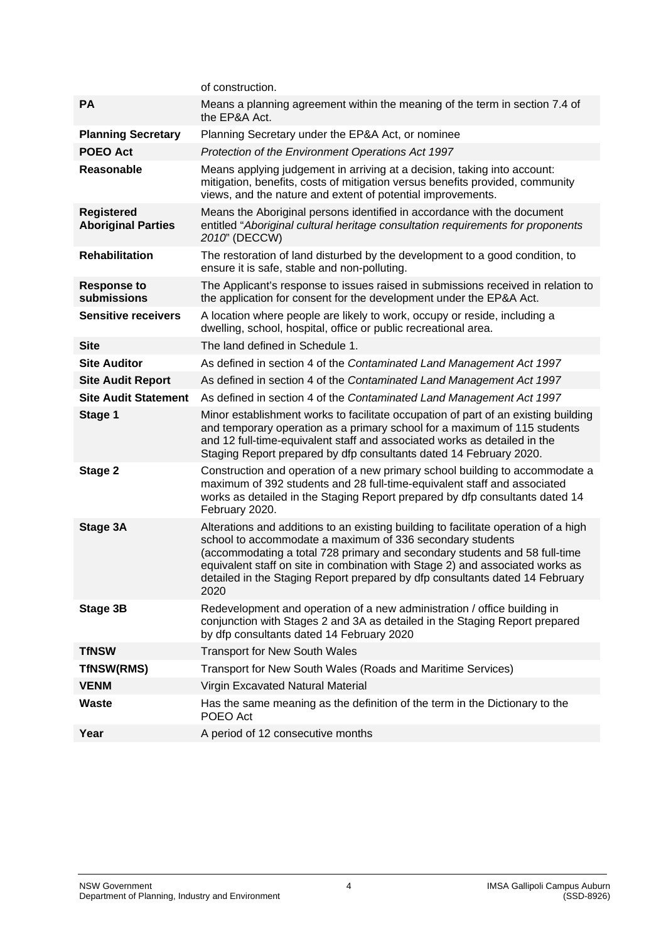|                                                | of construction.                                                                                                                                                                                                                                                                                                                                                                                        |  |  |
|------------------------------------------------|---------------------------------------------------------------------------------------------------------------------------------------------------------------------------------------------------------------------------------------------------------------------------------------------------------------------------------------------------------------------------------------------------------|--|--|
| <b>PA</b>                                      | Means a planning agreement within the meaning of the term in section 7.4 of<br>the EP&A Act.                                                                                                                                                                                                                                                                                                            |  |  |
| <b>Planning Secretary</b>                      | Planning Secretary under the EP&A Act, or nominee                                                                                                                                                                                                                                                                                                                                                       |  |  |
| <b>POEO Act</b>                                | Protection of the Environment Operations Act 1997                                                                                                                                                                                                                                                                                                                                                       |  |  |
| <b>Reasonable</b>                              | Means applying judgement in arriving at a decision, taking into account:<br>mitigation, benefits, costs of mitigation versus benefits provided, community<br>views, and the nature and extent of potential improvements.                                                                                                                                                                                |  |  |
| <b>Registered</b><br><b>Aboriginal Parties</b> | Means the Aboriginal persons identified in accordance with the document<br>entitled "Aboriginal cultural heritage consultation requirements for proponents<br>2010" (DECCW)                                                                                                                                                                                                                             |  |  |
| <b>Rehabilitation</b>                          | The restoration of land disturbed by the development to a good condition, to<br>ensure it is safe, stable and non-polluting.                                                                                                                                                                                                                                                                            |  |  |
| <b>Response to</b><br>submissions              | The Applicant's response to issues raised in submissions received in relation to<br>the application for consent for the development under the EP&A Act.                                                                                                                                                                                                                                                 |  |  |
| <b>Sensitive receivers</b>                     | A location where people are likely to work, occupy or reside, including a<br>dwelling, school, hospital, office or public recreational area.                                                                                                                                                                                                                                                            |  |  |
| <b>Site</b>                                    | The land defined in Schedule 1.                                                                                                                                                                                                                                                                                                                                                                         |  |  |
| <b>Site Auditor</b>                            | As defined in section 4 of the Contaminated Land Management Act 1997                                                                                                                                                                                                                                                                                                                                    |  |  |
| <b>Site Audit Report</b>                       | As defined in section 4 of the Contaminated Land Management Act 1997                                                                                                                                                                                                                                                                                                                                    |  |  |
| <b>Site Audit Statement</b>                    | As defined in section 4 of the Contaminated Land Management Act 1997                                                                                                                                                                                                                                                                                                                                    |  |  |
| Stage 1                                        | Minor establishment works to facilitate occupation of part of an existing building<br>and temporary operation as a primary school for a maximum of 115 students<br>and 12 full-time-equivalent staff and associated works as detailed in the<br>Staging Report prepared by dfp consultants dated 14 February 2020.                                                                                      |  |  |
| Stage 2                                        | Construction and operation of a new primary school building to accommodate a<br>maximum of 392 students and 28 full-time-equivalent staff and associated<br>works as detailed in the Staging Report prepared by dfp consultants dated 14<br>February 2020.                                                                                                                                              |  |  |
| Stage 3A                                       | Alterations and additions to an existing building to facilitate operation of a high<br>school to accommodate a maximum of 336 secondary students<br>(accommodating a total 728 primary and secondary students and 58 full-time<br>equivalent staff on site in combination with Stage 2) and associated works as<br>detailed in the Staging Report prepared by dfp consultants dated 14 February<br>2020 |  |  |
| Stage 3B                                       | Redevelopment and operation of a new administration / office building in<br>conjunction with Stages 2 and 3A as detailed in the Staging Report prepared<br>by dfp consultants dated 14 February 2020                                                                                                                                                                                                    |  |  |
| <b>TfNSW</b>                                   | <b>Transport for New South Wales</b>                                                                                                                                                                                                                                                                                                                                                                    |  |  |
| <b>TfNSW(RMS)</b>                              | Transport for New South Wales (Roads and Maritime Services)                                                                                                                                                                                                                                                                                                                                             |  |  |
| <b>VENM</b>                                    |                                                                                                                                                                                                                                                                                                                                                                                                         |  |  |
|                                                | Virgin Excavated Natural Material                                                                                                                                                                                                                                                                                                                                                                       |  |  |
| <b>Waste</b>                                   | Has the same meaning as the definition of the term in the Dictionary to the<br>POEO Act                                                                                                                                                                                                                                                                                                                 |  |  |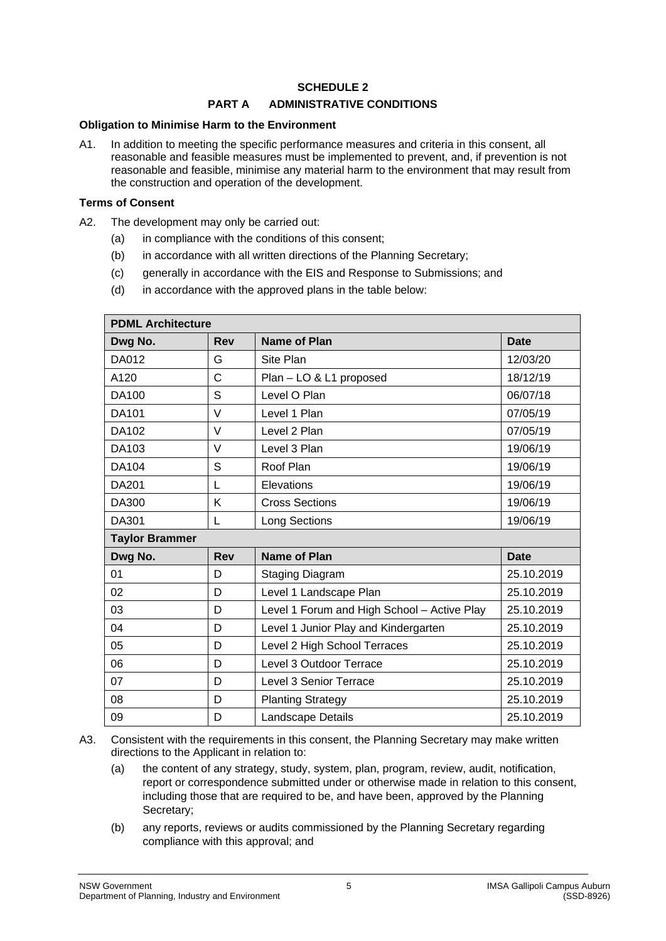## **SCHEDULE 2**

# **PART A ADMINISTRATIVE CONDITIONS**

#### **Obligation to Minimise Harm to the Environment**

A1. In addition to meeting the specific performance measures and criteria in this consent, all reasonable and feasible measures must be implemented to prevent, and, if prevention is not reasonable and feasible, minimise any material harm to the environment that may result from the construction and operation of the development.

#### **Terms of Consent**

- <span id="page-4-2"></span><span id="page-4-0"></span>A2. The development may only be carried out:
	- (a) in compliance with the conditions of this consent;
	- (b) in accordance with all written directions of the Planning Secretary;
	- (c) generally in accordance with the EIS and Response to Submissions; and
	- (d) in accordance with the approved plans in the table below:

<span id="page-4-1"></span>

| <b>PDML Architecture</b> |            |                                             |             |  |  |
|--------------------------|------------|---------------------------------------------|-------------|--|--|
| Dwg No.                  | <b>Rev</b> | <b>Name of Plan</b>                         | <b>Date</b> |  |  |
| DA012                    | G          | Site Plan                                   | 12/03/20    |  |  |
| A120                     | C          | Plan - LO & L1 proposed                     | 18/12/19    |  |  |
| <b>DA100</b>             | S          | Level O Plan                                | 06/07/18    |  |  |
| <b>DA101</b>             | $\vee$     | Level 1 Plan                                | 07/05/19    |  |  |
| DA102                    | V          | Level 2 Plan                                | 07/05/19    |  |  |
| DA103                    | $\vee$     | Level 3 Plan                                | 19/06/19    |  |  |
| DA104                    | S          | Roof Plan                                   | 19/06/19    |  |  |
| <b>DA201</b>             | L          | Elevations                                  | 19/06/19    |  |  |
| DA300                    | K          | <b>Cross Sections</b>                       | 19/06/19    |  |  |
| DA301                    | L          | Long Sections                               | 19/06/19    |  |  |
| <b>Taylor Brammer</b>    |            |                                             |             |  |  |
| Dwg No.                  | <b>Rev</b> | <b>Name of Plan</b>                         | <b>Date</b> |  |  |
| 01                       | D          | Staging Diagram                             | 25.10.2019  |  |  |
| 02                       | D          | Level 1 Landscape Plan                      | 25.10.2019  |  |  |
| 03                       | D          | Level 1 Forum and High School - Active Play | 25.10.2019  |  |  |
| 04                       | D          | Level 1 Junior Play and Kindergarten        | 25.10.2019  |  |  |
| 05                       | D          | Level 2 High School Terraces                | 25.10.2019  |  |  |
| 06                       | D          | Level 3 Outdoor Terrace                     | 25.10.2019  |  |  |
| 07                       | D          | Level 3 Senior Terrace                      | 25.10.2019  |  |  |
| 08                       | D          | <b>Planting Strategy</b>                    | 25.10.2019  |  |  |
| 09                       | D          | Landscape Details                           | 25.10.2019  |  |  |

A3. Consistent with the requirements in this consent, the Planning Secretary may make written directions to the Applicant in relation to:

- (a) the content of any strategy, study, system, plan, program, review, audit, notification, report or correspondence submitted under or otherwise made in relation to this consent, including those that are required to be, and have been, approved by the Planning Secretary;
- (b) any reports, reviews or audits commissioned by the Planning Secretary regarding compliance with this approval; and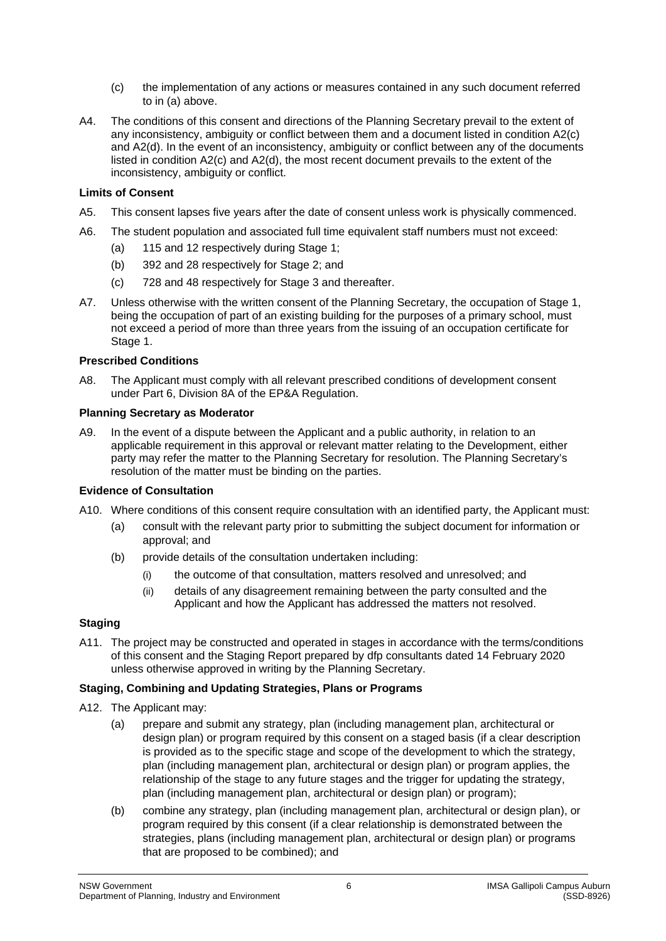- (c) the implementation of any actions or measures contained in any such document referred to in (a) above.
- A4. The conditions of this consent and directions of the Planning Secretary prevail to the extent of any inconsistency, ambiguity or conflict between them and a document listed in condition [A2\(c\)](#page-4-0) an[d A2\(d\).](#page-4-1) In the event of an inconsistency, ambiguity or conflict between any of the documents listed in conditio[n A2\(c\)](#page-4-0) and [A2\(d\),](#page-4-1) the most recent document prevails to the extent of the inconsistency, ambiguity or conflict.

#### **Limits of Consent**

- A5. This consent lapses five years after the date of consent unless work is physically commenced.
- A6. The student population and associated full time equivalent staff numbers must not exceed:
	- (a) 115 and 12 respectively during Stage 1;
	- (b) 392 and 28 respectively for Stage 2; and
	- (c) 728 and 48 respectively for Stage 3 and thereafter.
- A7. Unless otherwise with the written consent of the Planning Secretary, the occupation of Stage 1, being the occupation of part of an existing building for the purposes of a primary school, must not exceed a period of more than three years from the issuing of an occupation certificate for Stage 1.

## **Prescribed Conditions**

A8. The Applicant must comply with all relevant prescribed conditions of development consent under Part 6, Division 8A of the EP&A Regulation.

#### **Planning Secretary as Moderator**

A9. In the event of a dispute between the Applicant and a public authority, in relation to an applicable requirement in this approval or relevant matter relating to the Development, either party may refer the matter to the Planning Secretary for resolution. The Planning Secretary's resolution of the matter must be binding on the parties.

#### **Evidence of Consultation**

- A10. Where conditions of this consent require consultation with an identified party, the Applicant must:
	- (a) consult with the relevant party prior to submitting the subject document for information or approval; and
	- (b) provide details of the consultation undertaken including:
		- (i) the outcome of that consultation, matters resolved and unresolved; and
		- (ii) details of any disagreement remaining between the party consulted and the Applicant and how the Applicant has addressed the matters not resolved.

# **Staging**

A11. The project may be constructed and operated in stages in accordance with the terms/conditions of this consent and the Staging Report prepared by dfp consultants dated 14 February 2020 unless otherwise approved in writing by the Planning Secretary.

# **Staging, Combining and Updating Strategies, Plans or Programs**

- <span id="page-5-0"></span>A12. The Applicant may:
	- (a) prepare and submit any strategy, plan (including management plan, architectural or design plan) or program required by this consent on a staged basis (if a clear description is provided as to the specific stage and scope of the development to which the strategy, plan (including management plan, architectural or design plan) or program applies, the relationship of the stage to any future stages and the trigger for updating the strategy, plan (including management plan, architectural or design plan) or program);
	- (b) combine any strategy, plan (including management plan, architectural or design plan), or program required by this consent (if a clear relationship is demonstrated between the strategies, plans (including management plan, architectural or design plan) or programs that are proposed to be combined); and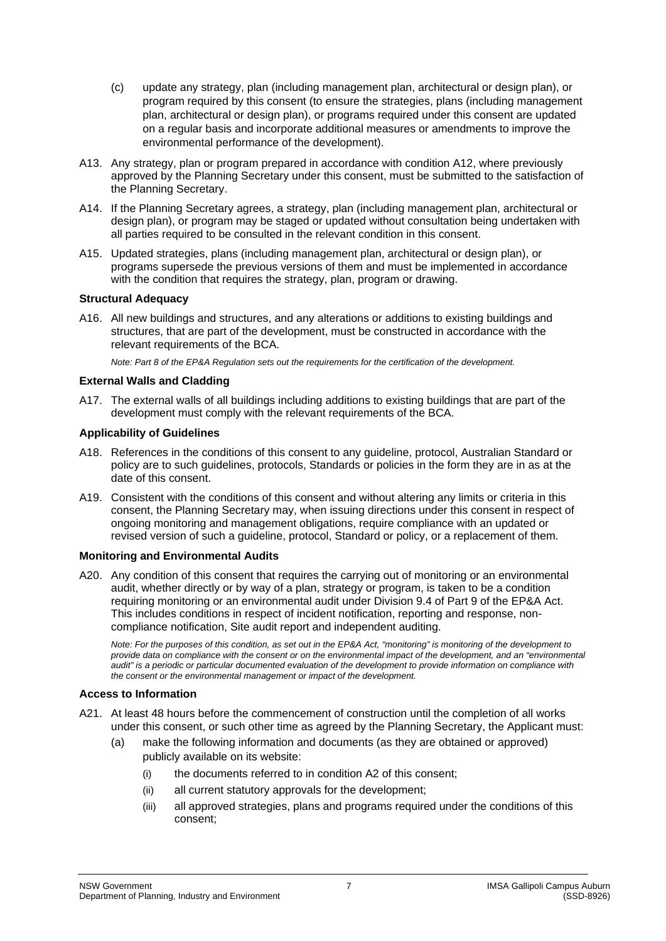- (c) update any strategy, plan (including management plan, architectural or design plan), or program required by this consent (to ensure the strategies, plans (including management plan, architectural or design plan), or programs required under this consent are updated on a regular basis and incorporate additional measures or amendments to improve the environmental performance of the development).
- A13. Any strategy, plan or program prepared in accordance with condition [A12,](#page-5-0) where previously approved by the Planning Secretary under this consent, must be submitted to the satisfaction of the Planning Secretary.
- A14. If the Planning Secretary agrees, a strategy, plan (including management plan, architectural or design plan), or program may be staged or updated without consultation being undertaken with all parties required to be consulted in the relevant condition in this consent.
- A15. Updated strategies, plans (including management plan, architectural or design plan), or programs supersede the previous versions of them and must be implemented in accordance with the condition that requires the strategy, plan, program or drawing.

#### **Structural Adequacy**

A16. All new buildings and structures, and any alterations or additions to existing buildings and structures, that are part of the development, must be constructed in accordance with the relevant requirements of the BCA.

*Note: Part 8 of the EP&A Regulation sets out the requirements for the certification of the development.* 

## **External Walls and Cladding**

A17. The external walls of all buildings including additions to existing buildings that are part of the development must comply with the relevant requirements of the BCA.

#### **Applicability of Guidelines**

- A18. References in the conditions of this consent to any guideline, protocol, Australian Standard or policy are to such guidelines, protocols, Standards or policies in the form they are in as at the date of this consent.
- A19. Consistent with the conditions of this consent and without altering any limits or criteria in this consent, the Planning Secretary may, when issuing directions under this consent in respect of ongoing monitoring and management obligations, require compliance with an updated or revised version of such a guideline, protocol, Standard or policy, or a replacement of them.

## **Monitoring and Environmental Audits**

A20. Any condition of this consent that requires the carrying out of monitoring or an environmental audit, whether directly or by way of a plan, strategy or program, is taken to be a condition requiring monitoring or an environmental audit under Division 9.4 of Part 9 of the EP&A Act. This includes conditions in respect of incident notification, reporting and response, noncompliance notification, Site audit report and independent auditing.

*Note: For the purposes of this condition, as set out in the EP&A Act, "monitoring" is monitoring of the development to*  provide data on compliance with the consent or on the environmental impact of the development, and an "environmental *audit" is a periodic or particular documented evaluation of the development to provide information on compliance with the consent or the environmental management or impact of the development.*

#### **Access to Information**

- A21. At least 48 hours before the commencement of construction until the completion of all works under this consent, or such other time as agreed by the Planning Secretary, the Applicant must:
	- (a) make the following information and documents (as they are obtained or approved) publicly available on its website:
		- (i) the documents referred to in condition [A2](#page-4-2) of this consent;
		- (ii) all current statutory approvals for the development;
		- (iii) all approved strategies, plans and programs required under the conditions of this consent;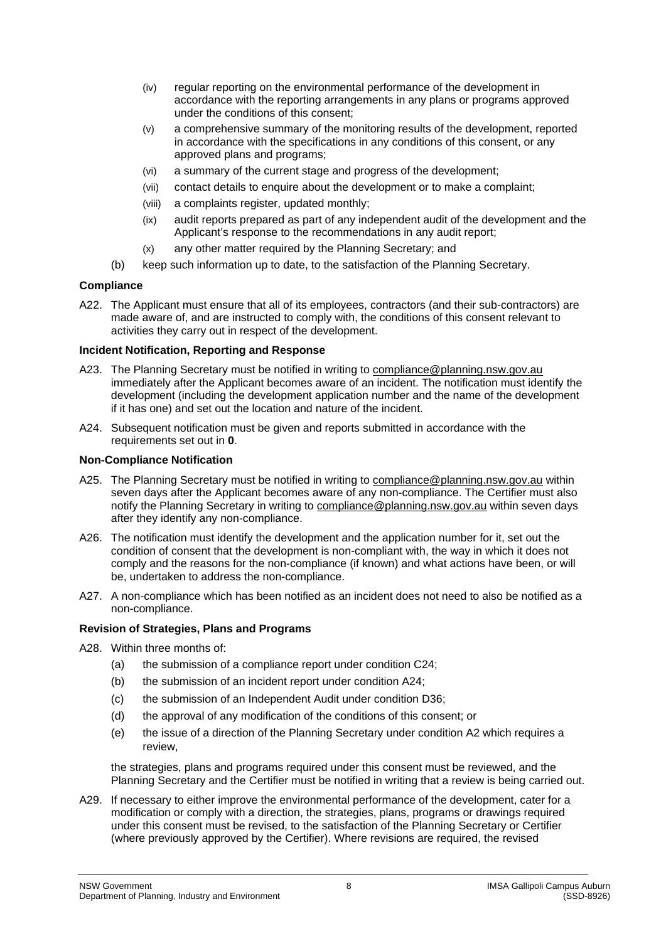- (iv) regular reporting on the environmental performance of the development in accordance with the reporting arrangements in any plans or programs approved under the conditions of this consent;
- (v) a comprehensive summary of the monitoring results of the development, reported in accordance with the specifications in any conditions of this consent, or any approved plans and programs;
- (vi) a summary of the current stage and progress of the development;
- (vii) contact details to enquire about the development or to make a complaint;
- (viii) a complaints register, updated monthly;
- (ix) audit reports prepared as part of any independent audit of the development and the Applicant's response to the recommendations in any audit report;
- (x) any other matter required by the Planning Secretary; and
- (b) keep such information up to date, to the satisfaction of the Planning Secretary.

## **Compliance**

A22. The Applicant must ensure that all of its employees, contractors (and their sub-contractors) are made aware of, and are instructed to comply with, the conditions of this consent relevant to activities they carry out in respect of the development.

## **Incident Notification, Reporting and Response**

- <span id="page-7-1"></span>A23. The Planning Secretary must be notified in writing to [compliance@planning.nsw.gov.au](mailto:compliance@planning.nsw.gov.au) immediately after the Applicant becomes aware of an incident. The notification must identify the development (including the development application number and the name of the development if it has one) and set out the location and nature of the incident.
- <span id="page-7-0"></span>A24. Subsequent notification must be given and reports submitted in accordance with the requirements set out in **[0](#page-28-0)**.

## **Non-Compliance Notification**

- A25. The Planning Secretary must be notified in writing to [compliance@planning.nsw.gov.au](mailto:compliance@planning.nsw.gov.au) within seven days after the Applicant becomes aware of any non-compliance. The Certifier must also notify the Planning Secretary in writing to [compliance@planning.nsw.gov.au](mailto:compliance@planning.nsw.gov.au) within seven days after they identify any non-compliance.
- A26. The notification must identify the development and the application number for it, set out the condition of consent that the development is non-compliant with, the way in which it does not comply and the reasons for the non-compliance (if known) and what actions have been, or will be, undertaken to address the non-compliance.
- A27. A non-compliance which has been notified as an incident does not need to also be notified as a non-compliance.

# **Revision of Strategies, Plans and Programs**

- A28. Within three months of:
	- (a) the submission of a compliance report under condition [C24;](#page-15-0)
	- (b) the submission of an incident report under condition [A24;](#page-7-0)
	- (c) the submission of an Independent Audit under condition [D36;](#page-20-0)
	- (d) the approval of any modification of the conditions of this consent; or
	- (e) the issue of a direction of the Planning Secretary under condition [A2](#page-4-2) which requires a review,

the strategies, plans and programs required under this consent must be reviewed, and the Planning Secretary and the Certifier must be notified in writing that a review is being carried out.

A29. If necessary to either improve the environmental performance of the development, cater for a modification or comply with a direction, the strategies, plans, programs or drawings required under this consent must be revised, to the satisfaction of the Planning Secretary or Certifier (where previously approved by the Certifier). Where revisions are required, the revised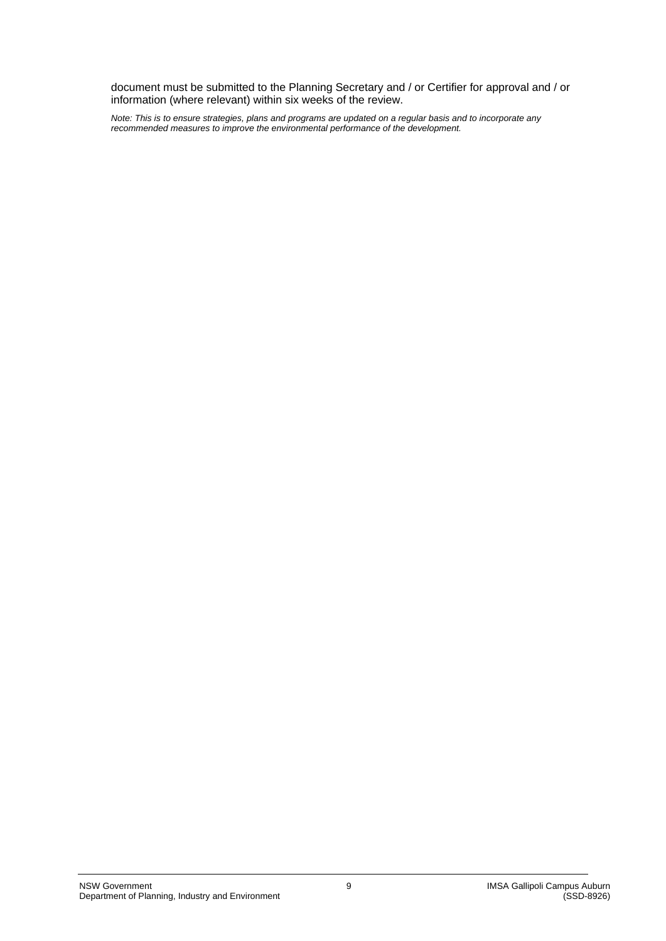document must be submitted to the Planning Secretary and / or Certifier for approval and / or information (where relevant) within six weeks of the review.

*Note: This is to ensure strategies, plans and programs are updated on a regular basis and to incorporate any recommended measures to improve the environmental performance of the development.*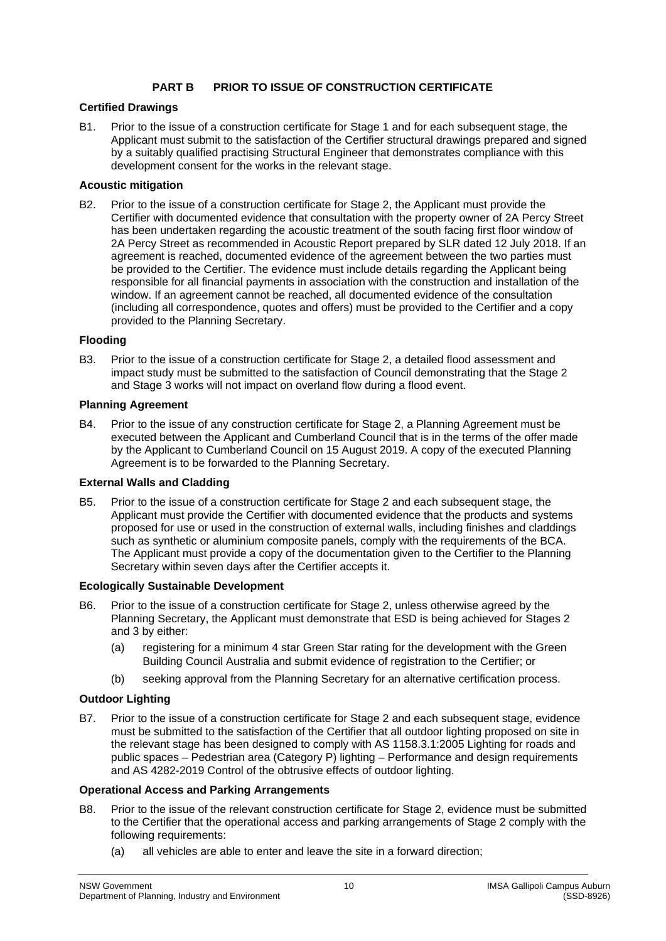# **PART B PRIOR TO ISSUE OF CONSTRUCTION CERTIFICATE**

## **Certified Drawings**

B1. Prior to the issue of a construction certificate for Stage 1 and for each subsequent stage, the Applicant must submit to the satisfaction of the Certifier structural drawings prepared and signed by a suitably qualified practising Structural Engineer that demonstrates compliance with this development consent for the works in the relevant stage.

# **Acoustic mitigation**

B2. Prior to the issue of a construction certificate for Stage 2, the Applicant must provide the Certifier with documented evidence that consultation with the property owner of 2A Percy Street has been undertaken regarding the acoustic treatment of the south facing first floor window of 2A Percy Street as recommended in Acoustic Report prepared by SLR dated 12 July 2018. If an agreement is reached, documented evidence of the agreement between the two parties must be provided to the Certifier. The evidence must include details regarding the Applicant being responsible for all financial payments in association with the construction and installation of the window. If an agreement cannot be reached, all documented evidence of the consultation (including all correspondence, quotes and offers) must be provided to the Certifier and a copy provided to the Planning Secretary.

## **Flooding**

B3. Prior to the issue of a construction certificate for Stage 2, a detailed flood assessment and impact study must be submitted to the satisfaction of Council demonstrating that the Stage 2 and Stage 3 works will not impact on overland flow during a flood event.

## **Planning Agreement**

B4. Prior to the issue of any construction certificate for Stage 2, a Planning Agreement must be executed between the Applicant and Cumberland Council that is in the terms of the offer made by the Applicant to Cumberland Council on 15 August 2019. A copy of the executed Planning Agreement is to be forwarded to the Planning Secretary.

#### **External Walls and Cladding**

B5. Prior to the issue of a construction certificate for Stage 2 and each subsequent stage, the Applicant must provide the Certifier with documented evidence that the products and systems proposed for use or used in the construction of external walls, including finishes and claddings such as synthetic or aluminium composite panels, comply with the requirements of the BCA. The Applicant must provide a copy of the documentation given to the Certifier to the Planning Secretary within seven days after the Certifier accepts it.

#### **Ecologically Sustainable Development**

- <span id="page-9-1"></span>B6. Prior to the issue of a construction certificate for Stage 2, unless otherwise agreed by the Planning Secretary, the Applicant must demonstrate that ESD is being achieved for Stages 2 and 3 by either:
	- (a) registering for a minimum 4 star Green Star rating for the development with the Green Building Council Australia and submit evidence of registration to the Certifier; or
	- (b) seeking approval from the Planning Secretary for an alternative certification process.

# **Outdoor Lighting**

B7. Prior to the issue of a construction certificate for Stage 2 and each subsequent stage, evidence must be submitted to the satisfaction of the Certifier that all outdoor lighting proposed on site in the relevant stage has been designed to comply with AS 1158.3.1:2005 Lighting for roads and public spaces – Pedestrian area (Category P) lighting – Performance and design requirements and AS 4282-2019 Control of the obtrusive effects of outdoor lighting.

# **Operational Access and Parking Arrangements**

- <span id="page-9-0"></span>B8. Prior to the issue of the relevant construction certificate for Stage 2, evidence must be submitted to the Certifier that the operational access and parking arrangements of Stage 2 comply with the following requirements:
	- (a) all vehicles are able to enter and leave the site in a forward direction;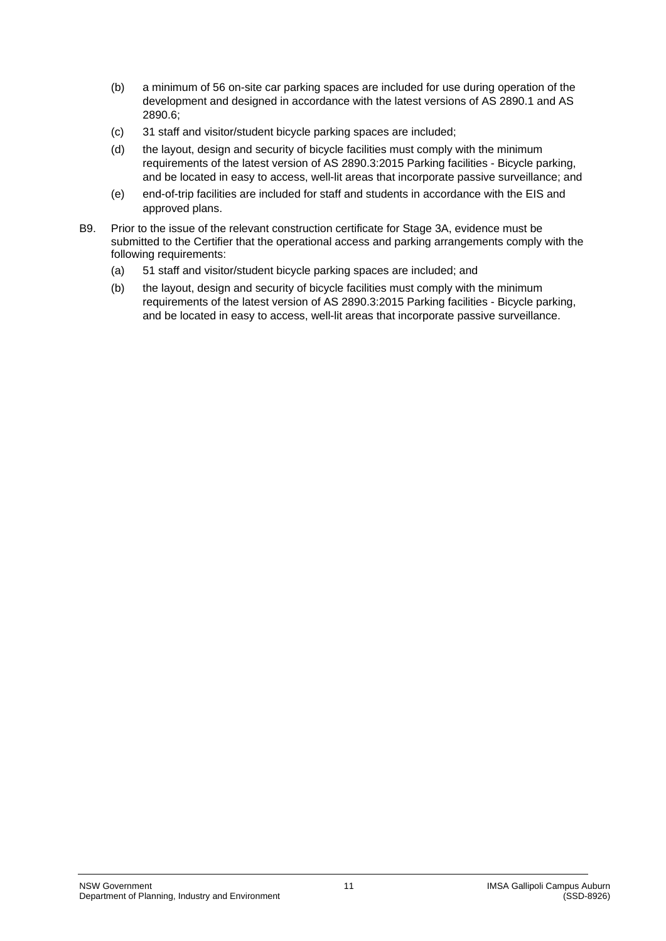- (b) a minimum of 56 on-site car parking spaces are included for use during operation of the development and designed in accordance with the latest versions of AS 2890.1 and AS 2890.6;
- (c) 31 staff and visitor/student bicycle parking spaces are included;
- (d) the layout, design and security of bicycle facilities must comply with the minimum requirements of the latest version of AS 2890.3:2015 Parking facilities - Bicycle parking, and be located in easy to access, well-lit areas that incorporate passive surveillance; and
- (e) end-of-trip facilities are included for staff and students in accordance with the EIS and approved plans.
- <span id="page-10-0"></span>B9. Prior to the issue of the relevant construction certificate for Stage 3A, evidence must be submitted to the Certifier that the operational access and parking arrangements comply with the following requirements:
	- (a) 51 staff and visitor/student bicycle parking spaces are included; and
	- (b) the layout, design and security of bicycle facilities must comply with the minimum requirements of the latest version of AS 2890.3:2015 Parking facilities - Bicycle parking, and be located in easy to access, well-lit areas that incorporate passive surveillance.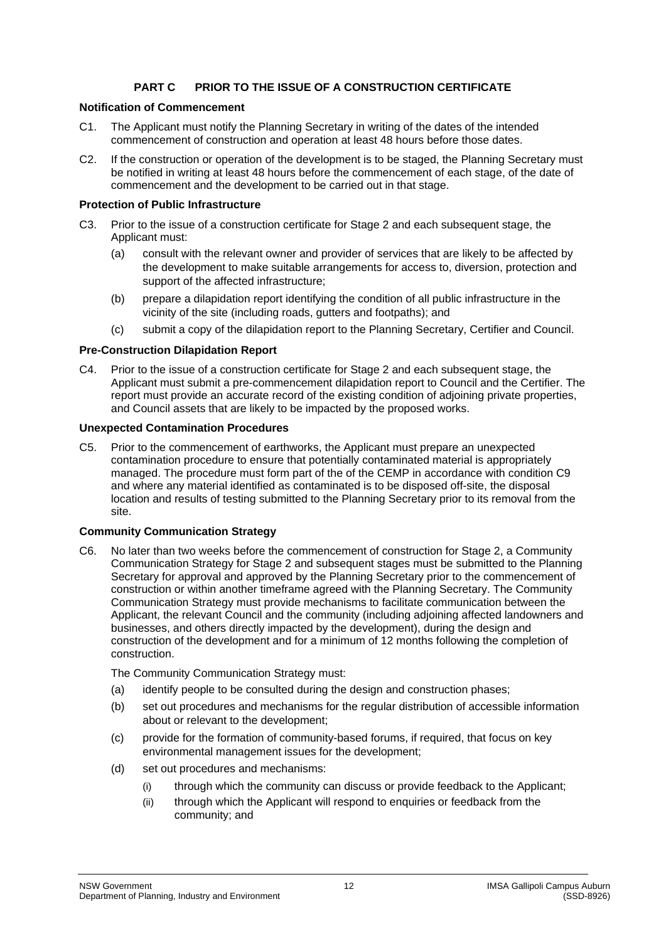# **PART C PRIOR TO THE ISSUE OF A CONSTRUCTION CERTIFICATE**

## **Notification of Commencement**

- C1. The Applicant must notify the Planning Secretary in writing of the dates of the intended commencement of construction and operation at least 48 hours before those dates.
- C2. If the construction or operation of the development is to be staged, the Planning Secretary must be notified in writing at least 48 hours before the commencement of each stage, of the date of commencement and the development to be carried out in that stage.

## **Protection of Public Infrastructure**

- C3. Prior to the issue of a construction certificate for Stage 2 and each subsequent stage, the Applicant must:
	- (a) consult with the relevant owner and provider of services that are likely to be affected by the development to make suitable arrangements for access to, diversion, protection and support of the affected infrastructure;
	- (b) prepare a dilapidation report identifying the condition of all public infrastructure in the vicinity of the site (including roads, gutters and footpaths); and
	- (c) submit a copy of the dilapidation report to the Planning Secretary, Certifier and Council.

## **Pre-Construction Dilapidation Report**

C4. Prior to the issue of a construction certificate for Stage 2 and each subsequent stage, the Applicant must submit a pre-commencement dilapidation report to Council and the Certifier. The report must provide an accurate record of the existing condition of adjoining private properties, and Council assets that are likely to be impacted by the proposed works.

## **Unexpected Contamination Procedures**

C5. Prior to the commencement of earthworks, the Applicant must prepare an unexpected contamination procedure to ensure that potentially contaminated material is appropriately managed. The procedure must form part of the of the CEMP in accordance with condition [C9](#page-12-0) and where any material identified as contaminated is to be disposed off-site, the disposal location and results of testing submitted to the Planning Secretary prior to its removal from the site.

## **Community Communication Strategy**

C6. No later than two weeks before the commencement of construction for Stage 2, a Community Communication Strategy for Stage 2 and subsequent stages must be submitted to the Planning Secretary for approval and approved by the Planning Secretary prior to the commencement of construction or within another timeframe agreed with the Planning Secretary. The Community Communication Strategy must provide mechanisms to facilitate communication between the Applicant, the relevant Council and the community (including adjoining affected landowners and businesses, and others directly impacted by the development), during the design and construction of the development and for a minimum of 12 months following the completion of construction.

The Community Communication Strategy must:

- (a) identify people to be consulted during the design and construction phases;
- (b) set out procedures and mechanisms for the regular distribution of accessible information about or relevant to the development;
- (c) provide for the formation of community-based forums, if required, that focus on key environmental management issues for the development;
- (d) set out procedures and mechanisms:
	- (i) through which the community can discuss or provide feedback to the Applicant;
	- (ii) through which the Applicant will respond to enquiries or feedback from the community; and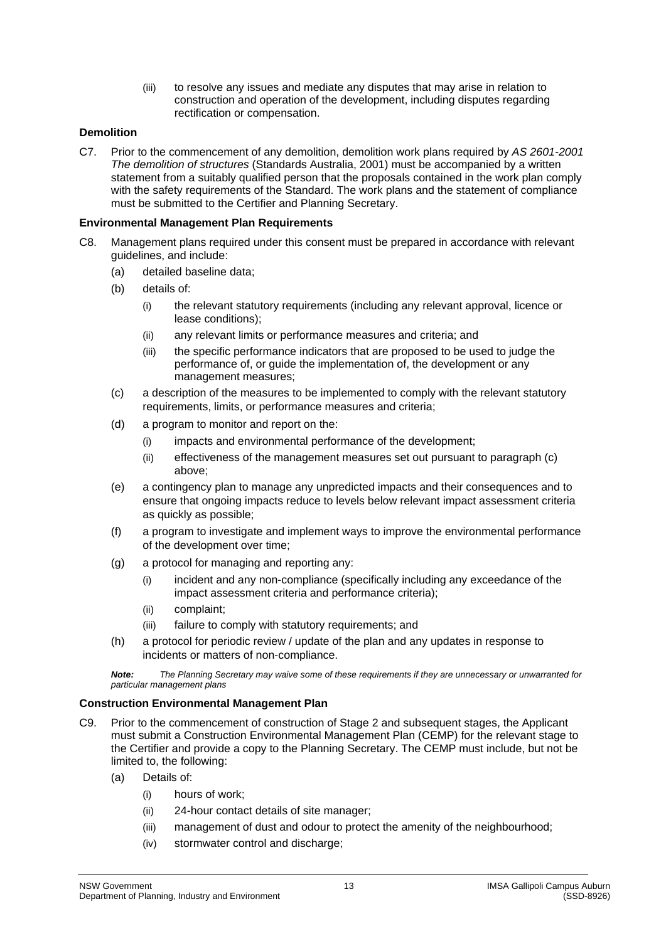(iii) to resolve any issues and mediate any disputes that may arise in relation to construction and operation of the development, including disputes regarding rectification or compensation.

## **Demolition**

<span id="page-12-2"></span>C7. Prior to the commencement of any demolition, demolition work plans required by *AS 2601-2001 The demolition of structures* (Standards Australia, 2001) must be accompanied by a written statement from a suitably qualified person that the proposals contained in the work plan comply with the safety requirements of the Standard. The work plans and the statement of compliance must be submitted to the Certifier and Planning Secretary.

#### **Environmental Management Plan Requirements**

- <span id="page-12-1"></span>C8. Management plans required under this consent must be prepared in accordance with relevant guidelines, and include:
	- (a) detailed baseline data;
	- (b) details of:
		- (i) the relevant statutory requirements (including any relevant approval, licence or lease conditions);
		- (ii) any relevant limits or performance measures and criteria; and
		- (iii) the specific performance indicators that are proposed to be used to judge the performance of, or guide the implementation of, the development or any management measures;
	- (c) a description of the measures to be implemented to comply with the relevant statutory requirements, limits, or performance measures and criteria;
	- (d) a program to monitor and report on the:
		- (i) impacts and environmental performance of the development;
		- (ii) effectiveness of the management measures set out pursuant to paragraph (c) above;
	- (e) a contingency plan to manage any unpredicted impacts and their consequences and to ensure that ongoing impacts reduce to levels below relevant impact assessment criteria as quickly as possible;
	- (f) a program to investigate and implement ways to improve the environmental performance of the development over time;
	- (g) a protocol for managing and reporting any:
		- (i) incident and any non-compliance (specifically including any exceedance of the impact assessment criteria and performance criteria);
		- (ii) complaint;
		- (iii) failure to comply with statutory requirements; and
	- (h) a protocol for periodic review / update of the plan and any updates in response to incidents or matters of non-compliance.

*Note: The Planning Secretary may waive some of these requirements if they are unnecessary or unwarranted for particular management plans*

#### **Construction Environmental Management Plan**

- <span id="page-12-0"></span>C9. Prior to the commencement of construction of Stage 2 and subsequent stages, the Applicant must submit a Construction Environmental Management Plan (CEMP) for the relevant stage to the Certifier and provide a copy to the Planning Secretary. The CEMP must include, but not be limited to, the following:
	- (a) Details of:
		- (i) hours of work;
		- (ii) 24-hour contact details of site manager;
		- (iii) management of dust and odour to protect the amenity of the neighbourhood;
		- (iv) stormwater control and discharge;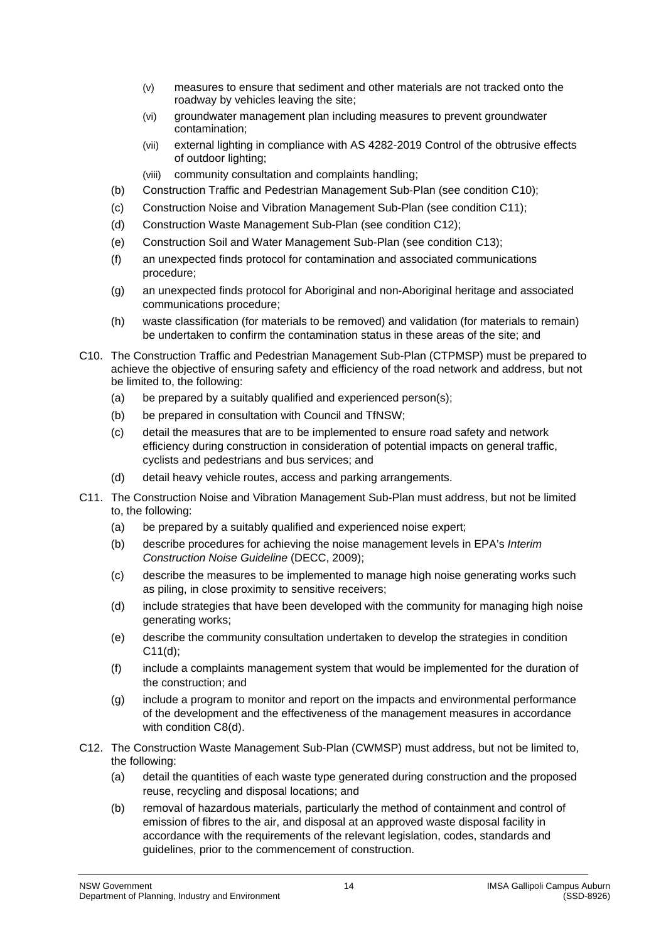- (v) measures to ensure that sediment and other materials are not tracked onto the roadway by vehicles leaving the site;
- (vi) groundwater management plan including measures to prevent groundwater contamination;
- (vii) external lighting in compliance with AS 4282-2019 Control of the obtrusive effects of outdoor lighting;
- (viii) community consultation and complaints handling;
- (b) Construction Traffic and Pedestrian Management Sub-Plan (see condition [C10\)](#page-13-0);
- (c) Construction Noise and Vibration Management Sub-Plan (see condition [C11\)](#page-13-1);
- (d) Construction Waste Management Sub-Plan (see conditio[n C12\)](#page-13-2);
- (e) Construction Soil and Water Management Sub-Plan (see condition [C13\)](#page-14-0);
- (f) an unexpected finds protocol for contamination and associated communications procedure;
- (g) an unexpected finds protocol for Aboriginal and non-Aboriginal heritage and associated communications procedure;
- (h) waste classification (for materials to be removed) and validation (for materials to remain) be undertaken to confirm the contamination status in these areas of the site; and
- <span id="page-13-0"></span>C10. The Construction Traffic and Pedestrian Management Sub-Plan (CTPMSP) must be prepared to achieve the objective of ensuring safety and efficiency of the road network and address, but not be limited to, the following:
	- (a) be prepared by a suitably qualified and experienced person(s);
	- (b) be prepared in consultation with Council and TfNSW;
	- (c) detail the measures that are to be implemented to ensure road safety and network efficiency during construction in consideration of potential impacts on general traffic, cyclists and pedestrians and bus services; and
	- (d) detail heavy vehicle routes, access and parking arrangements.
- <span id="page-13-3"></span><span id="page-13-1"></span>C11. The Construction Noise and Vibration Management Sub-Plan must address, but not be limited to, the following:
	- (a) be prepared by a suitably qualified and experienced noise expert;
	- (b) describe procedures for achieving the noise management levels in EPA's *Interim Construction Noise Guideline* (DECC, 2009);
	- (c) describe the measures to be implemented to manage high noise generating works such as piling, in close proximity to sensitive receivers;
	- (d) include strategies that have been developed with the community for managing high noise generating works;
	- (e) describe the community consultation undertaken to develop the strategies in condition [C11](#page-13-1)[\(d\);](#page-13-3)
	- (f) include a complaints management system that would be implemented for the duration of the construction; and
	- (g) include a program to monitor and report on the impacts and environmental performance of the development and the effectiveness of the management measures in accordance with condition [C8\(d\).](#page-12-1)
- <span id="page-13-2"></span>C12. The Construction Waste Management Sub-Plan (CWMSP) must address, but not be limited to, the following:
	- (a) detail the quantities of each waste type generated during construction and the proposed reuse, recycling and disposal locations; and
	- (b) removal of hazardous materials, particularly the method of containment and control of emission of fibres to the air, and disposal at an approved waste disposal facility in accordance with the requirements of the relevant legislation, codes, standards and guidelines, prior to the commencement of construction.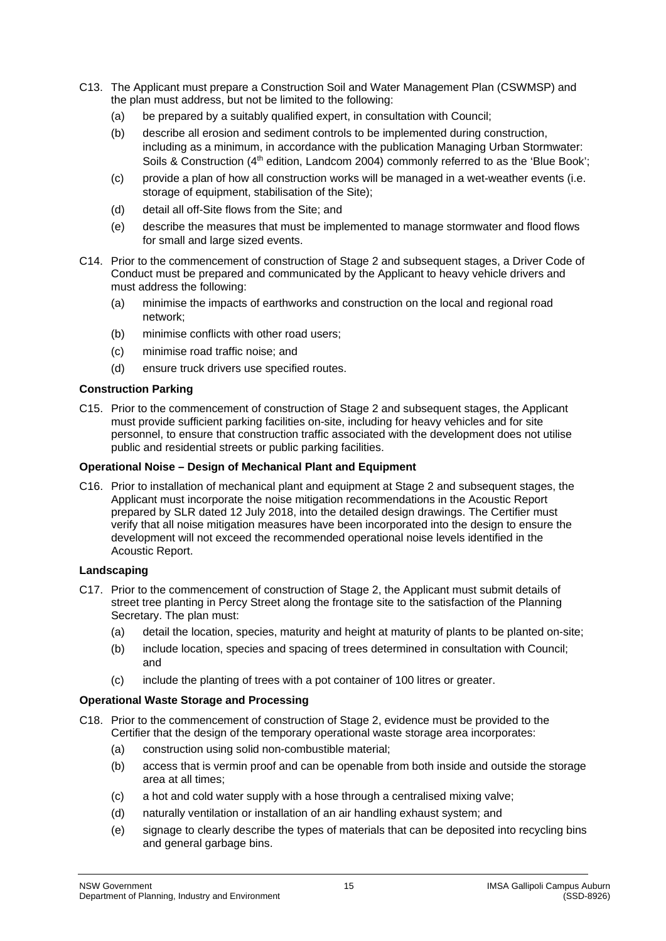- <span id="page-14-0"></span>C13. The Applicant must prepare a Construction Soil and Water Management Plan (CSWMSP) and the plan must address, but not be limited to the following:
	- (a) be prepared by a suitably qualified expert, in consultation with Council;
	- (b) describe all erosion and sediment controls to be implemented during construction, including as a minimum, in accordance with the publication Managing Urban Stormwater: Soils & Construction (4<sup>th</sup> edition, Landcom 2004) commonly referred to as the 'Blue Book';
	- (c) provide a plan of how all construction works will be managed in a wet-weather events (i.e. storage of equipment, stabilisation of the Site);
	- (d) detail all off-Site flows from the Site; and
	- (e) describe the measures that must be implemented to manage stormwater and flood flows for small and large sized events.
- C14. Prior to the commencement of construction of Stage 2 and subsequent stages, a Driver Code of Conduct must be prepared and communicated by the Applicant to heavy vehicle drivers and must address the following:
	- (a) minimise the impacts of earthworks and construction on the local and regional road network;
	- (b) minimise conflicts with other road users;
	- (c) minimise road traffic noise; and
	- (d) ensure truck drivers use specified routes.

## **Construction Parking**

C15. Prior to the commencement of construction of Stage 2 and subsequent stages, the Applicant must provide sufficient parking facilities on-site, including for heavy vehicles and for site personnel, to ensure that construction traffic associated with the development does not utilise public and residential streets or public parking facilities.

## **Operational Noise – Design of Mechanical Plant and Equipment**

C16. Prior to installation of mechanical plant and equipment at Stage 2 and subsequent stages, the Applicant must incorporate the noise mitigation recommendations in the Acoustic Report prepared by SLR dated 12 July 2018, into the detailed design drawings. The Certifier must verify that all noise mitigation measures have been incorporated into the design to ensure the development will not exceed the recommended operational noise levels identified in the Acoustic Report.

#### **Landscaping**

- C17. Prior to the commencement of construction of Stage 2, the Applicant must submit details of street tree planting in Percy Street along the frontage site to the satisfaction of the Planning Secretary. The plan must:
	- (a) detail the location, species, maturity and height at maturity of plants to be planted on-site;
	- (b) include location, species and spacing of trees determined in consultation with Council; and
	- (c) include the planting of trees with a pot container of 100 litres or greater.

# **Operational Waste Storage and Processing**

- C18. Prior to the commencement of construction of Stage 2, evidence must be provided to the Certifier that the design of the temporary operational waste storage area incorporates:
	- (a) construction using solid non-combustible material;
	- (b) access that is vermin proof and can be openable from both inside and outside the storage area at all times;
	- (c) a hot and cold water supply with a hose through a centralised mixing valve;
	- (d) naturally ventilation or installation of an air handling exhaust system; and
	- (e) signage to clearly describe the types of materials that can be deposited into recycling bins and general garbage bins.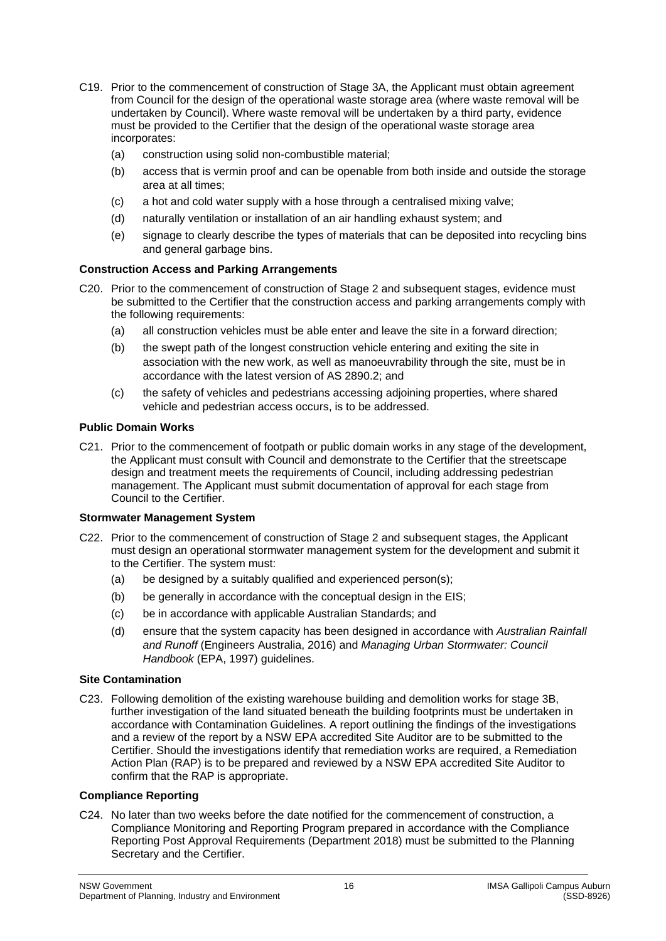- C19. Prior to the commencement of construction of Stage 3A, the Applicant must obtain agreement from Council for the design of the operational waste storage area (where waste removal will be undertaken by Council). Where waste removal will be undertaken by a third party, evidence must be provided to the Certifier that the design of the operational waste storage area incorporates:
	- (a) construction using solid non-combustible material;
	- (b) access that is vermin proof and can be openable from both inside and outside the storage area at all times;
	- (c) a hot and cold water supply with a hose through a centralised mixing valve;
	- (d) naturally ventilation or installation of an air handling exhaust system; and
	- (e) signage to clearly describe the types of materials that can be deposited into recycling bins and general garbage bins.

## **Construction Access and Parking Arrangements**

- C20. Prior to the commencement of construction of Stage 2 and subsequent stages, evidence must be submitted to the Certifier that the construction access and parking arrangements comply with the following requirements:
	- (a) all construction vehicles must be able enter and leave the site in a forward direction;
	- (b) the swept path of the longest construction vehicle entering and exiting the site in association with the new work, as well as manoeuvrability through the site, must be in accordance with the latest version of AS 2890.2; and
	- (c) the safety of vehicles and pedestrians accessing adjoining properties, where shared vehicle and pedestrian access occurs, is to be addressed.

#### **Public Domain Works**

C21. Prior to the commencement of footpath or public domain works in any stage of the development, the Applicant must consult with Council and demonstrate to the Certifier that the streetscape design and treatment meets the requirements of Council, including addressing pedestrian management. The Applicant must submit documentation of approval for each stage from Council to the Certifier.

#### **Stormwater Management System**

- C22. Prior to the commencement of construction of Stage 2 and subsequent stages, the Applicant must design an operational stormwater management system for the development and submit it to the Certifier. The system must:
	- (a) be designed by a suitably qualified and experienced person(s);
	- (b) be generally in accordance with the conceptual design in the EIS;
	- (c) be in accordance with applicable Australian Standards; and
	- (d) ensure that the system capacity has been designed in accordance with *Australian Rainfall and Runoff* (Engineers Australia, 2016) and *Managing Urban Stormwater: Council Handbook* (EPA, 1997) guidelines.

## **Site Contamination**

C23. Following demolition of the existing warehouse building and demolition works for stage 3B, further investigation of the land situated beneath the building footprints must be undertaken in accordance with Contamination Guidelines. A report outlining the findings of the investigations and a review of the report by a NSW EPA accredited Site Auditor are to be submitted to the Certifier. Should the investigations identify that remediation works are required, a Remediation Action Plan (RAP) is to be prepared and reviewed by a NSW EPA accredited Site Auditor to confirm that the RAP is appropriate.

#### **Compliance Reporting**

<span id="page-15-0"></span>C24. No later than two weeks before the date notified for the commencement of construction, a Compliance Monitoring and Reporting Program prepared in accordance with the Compliance Reporting Post Approval Requirements (Department 2018) must be submitted to the Planning Secretary and the Certifier.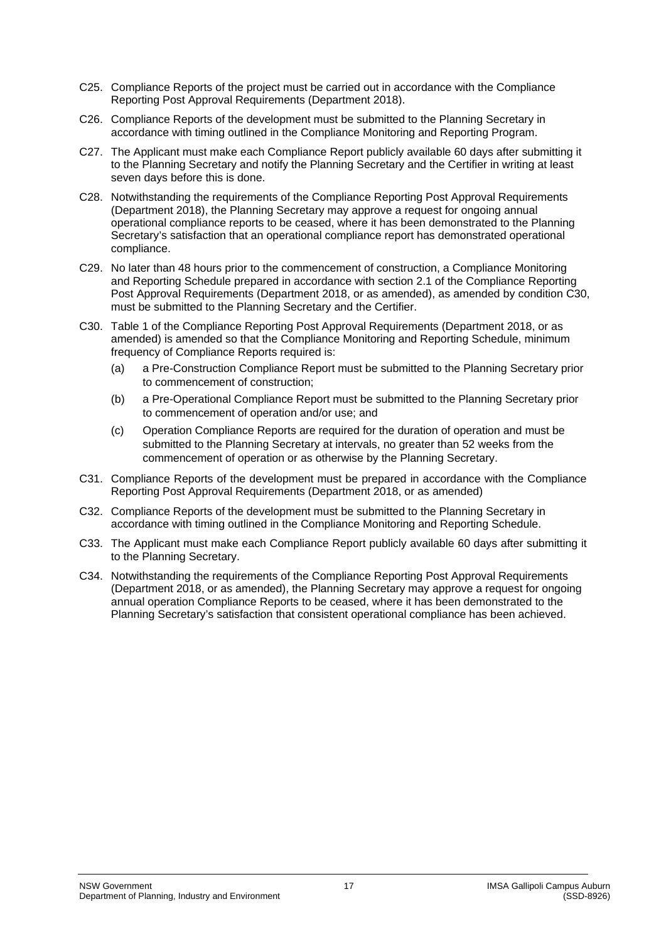- C25. Compliance Reports of the project must be carried out in accordance with the Compliance Reporting Post Approval Requirements (Department 2018).
- C26. Compliance Reports of the development must be submitted to the Planning Secretary in accordance with timing outlined in the Compliance Monitoring and Reporting Program.
- C27. The Applicant must make each Compliance Report publicly available 60 days after submitting it to the Planning Secretary and notify the Planning Secretary and the Certifier in writing at least seven days before this is done.
- C28. Notwithstanding the requirements of the Compliance Reporting Post Approval Requirements (Department 2018), the Planning Secretary may approve a request for ongoing annual operational compliance reports to be ceased, where it has been demonstrated to the Planning Secretary's satisfaction that an operational compliance report has demonstrated operational compliance.
- C29. No later than 48 hours prior to the commencement of construction, a Compliance Monitoring and Reporting Schedule prepared in accordance with section 2.1 of the Compliance Reporting Post Approval Requirements (Department 2018, or as amended), as amended by condition [C30,](#page-16-0) must be submitted to the Planning Secretary and the Certifier.
- <span id="page-16-0"></span>C30. Table 1 of the Compliance Reporting Post Approval Requirements (Department 2018, or as amended) is amended so that the Compliance Monitoring and Reporting Schedule, minimum frequency of Compliance Reports required is:
	- (a) a Pre-Construction Compliance Report must be submitted to the Planning Secretary prior to commencement of construction;
	- (b) a Pre-Operational Compliance Report must be submitted to the Planning Secretary prior to commencement of operation and/or use; and
	- (c) Operation Compliance Reports are required for the duration of operation and must be submitted to the Planning Secretary at intervals, no greater than 52 weeks from the commencement of operation or as otherwise by the Planning Secretary.
- C31. Compliance Reports of the development must be prepared in accordance with the Compliance Reporting Post Approval Requirements (Department 2018, or as amended)
- C32. Compliance Reports of the development must be submitted to the Planning Secretary in accordance with timing outlined in the Compliance Monitoring and Reporting Schedule.
- C33. The Applicant must make each Compliance Report publicly available 60 days after submitting it to the Planning Secretary.
- C34. Notwithstanding the requirements of the Compliance Reporting Post Approval Requirements (Department 2018, or as amended), the Planning Secretary may approve a request for ongoing annual operation Compliance Reports to be ceased, where it has been demonstrated to the Planning Secretary's satisfaction that consistent operational compliance has been achieved.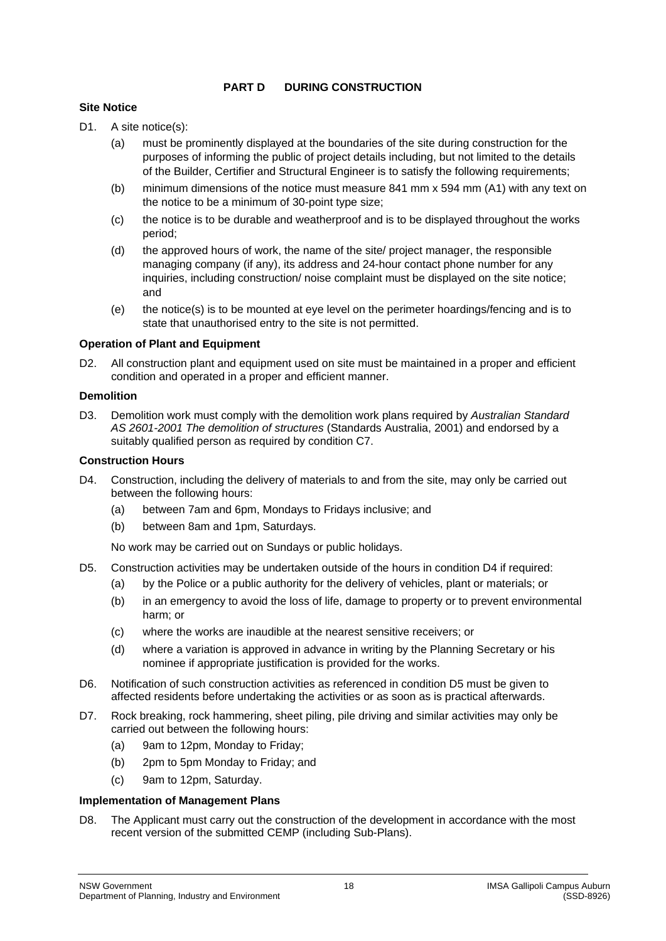## **PART D DURING CONSTRUCTION**

## **Site Notice**

- D1. A site notice(s):
	- (a) must be prominently displayed at the boundaries of the site during construction for the purposes of informing the public of project details including, but not limited to the details of the Builder, Certifier and Structural Engineer is to satisfy the following requirements;
	- (b) minimum dimensions of the notice must measure 841 mm x 594 mm (A1) with any text on the notice to be a minimum of 30-point type size;
	- (c) the notice is to be durable and weatherproof and is to be displayed throughout the works period;
	- (d) the approved hours of work, the name of the site/ project manager, the responsible managing company (if any), its address and 24-hour contact phone number for any inquiries, including construction/ noise complaint must be displayed on the site notice; and
	- (e) the notice(s) is to be mounted at eye level on the perimeter hoardings/fencing and is to state that unauthorised entry to the site is not permitted.

## **Operation of Plant and Equipment**

D2. All construction plant and equipment used on site must be maintained in a proper and efficient condition and operated in a proper and efficient manner.

#### **Demolition**

D3. Demolition work must comply with the demolition work plans required by *Australian Standard AS 2601-2001 The demolition of structures* (Standards Australia, 2001) and endorsed by a suitably qualified person as required by condition [C7.](#page-12-2)

#### **Construction Hours**

- <span id="page-17-0"></span>D4. Construction, including the delivery of materials to and from the site, may only be carried out between the following hours:
	- (a) between 7am and 6pm, Mondays to Fridays inclusive; and
	- (b) between 8am and 1pm, Saturdays.

No work may be carried out on Sundays or public holidays.

- <span id="page-17-1"></span>D5. Construction activities may be undertaken outside of the hours in condition [D4](#page-17-0) if required:
	- (a) by the Police or a public authority for the delivery of vehicles, plant or materials; or
	- (b) in an emergency to avoid the loss of life, damage to property or to prevent environmental harm; or
	- (c) where the works are inaudible at the nearest sensitive receivers; or
	- (d) where a variation is approved in advance in writing by the Planning Secretary or his nominee if appropriate justification is provided for the works.
- D6. Notification of such construction activities as referenced in condition [D5](#page-17-1) must be given to affected residents before undertaking the activities or as soon as is practical afterwards.
- D7. Rock breaking, rock hammering, sheet piling, pile driving and similar activities may only be carried out between the following hours:
	- (a) 9am to 12pm, Monday to Friday;
	- (b) 2pm to 5pm Monday to Friday; and
	- (c) 9am to 12pm, Saturday.

## **Implementation of Management Plans**

D8. The Applicant must carry out the construction of the development in accordance with the most recent version of the submitted CEMP (including Sub-Plans).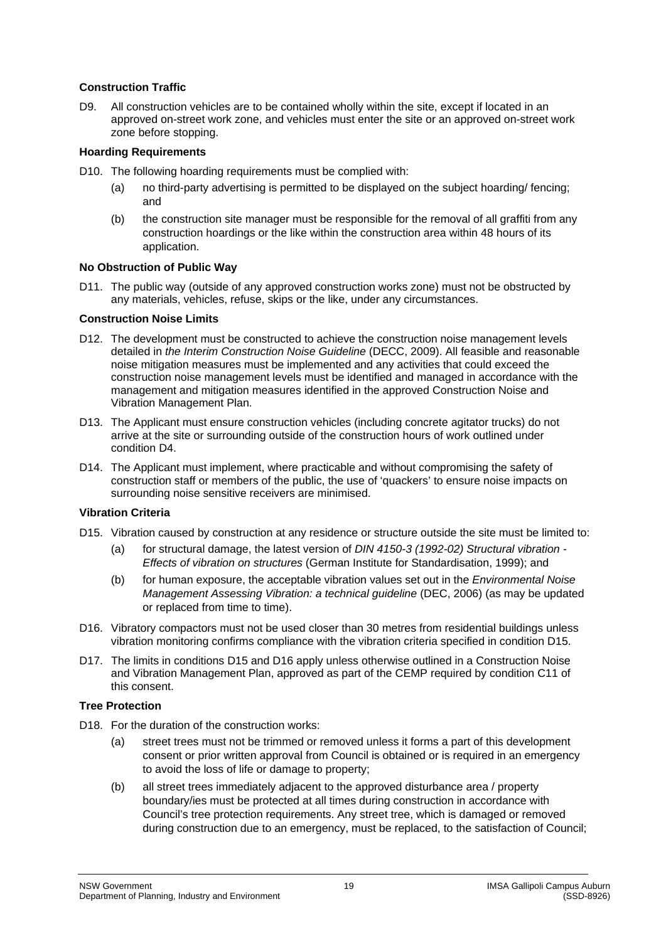## **Construction Traffic**

D9. All construction vehicles are to be contained wholly within the site, except if located in an approved on-street work zone, and vehicles must enter the site or an approved on-street work zone before stopping.

## **Hoarding Requirements**

- D10. The following hoarding requirements must be complied with:
	- (a) no third-party advertising is permitted to be displayed on the subject hoarding/ fencing; and
	- (b) the construction site manager must be responsible for the removal of all graffiti from any construction hoardings or the like within the construction area within 48 hours of its application.

## **No Obstruction of Public Way**

D11. The public way (outside of any approved construction works zone) must not be obstructed by any materials, vehicles, refuse, skips or the like, under any circumstances.

## **Construction Noise Limits**

- D12. The development must be constructed to achieve the construction noise management levels detailed in *the Interim Construction Noise Guideline* (DECC, 2009). All feasible and reasonable noise mitigation measures must be implemented and any activities that could exceed the construction noise management levels must be identified and managed in accordance with the management and mitigation measures identified in the approved Construction Noise and Vibration Management Plan.
- D13. The Applicant must ensure construction vehicles (including concrete agitator trucks) do not arrive at the site or surrounding outside of the construction hours of work outlined under condition [D4.](#page-17-0)
- D14. The Applicant must implement, where practicable and without compromising the safety of construction staff or members of the public, the use of 'quackers' to ensure noise impacts on surrounding noise sensitive receivers are minimised.

## **Vibration Criteria**

- <span id="page-18-0"></span>D15. Vibration caused by construction at any residence or structure outside the site must be limited to:
	- (a) for structural damage, the latest version of *DIN 4150-3 (1992-02) Structural vibration - Effects of vibration on structures* (German Institute for Standardisation, 1999); and
	- (b) for human exposure, the acceptable vibration values set out in the *Environmental Noise Management Assessing Vibration: a technical guideline* (DEC, 2006) (as may be updated or replaced from time to time).
- <span id="page-18-1"></span>D16. Vibratory compactors must not be used closer than 30 metres from residential buildings unless vibration monitoring confirms compliance with the vibration criteria specified in condition [D15.](#page-18-0)
- D17. The limits in conditions [D15](#page-18-0) and [D16](#page-18-1) apply unless otherwise outlined in a Construction Noise and Vibration Management Plan, approved as part of the CEMP required by condition [C11](#page-13-1) of this consent.

#### **Tree Protection**

- D<sub>18.</sub> For the duration of the construction works:
	- (a) street trees must not be trimmed or removed unless it forms a part of this development consent or prior written approval from Council is obtained or is required in an emergency to avoid the loss of life or damage to property;
	- (b) all street trees immediately adjacent to the approved disturbance area / property boundary/ies must be protected at all times during construction in accordance with Council's tree protection requirements. Any street tree, which is damaged or removed during construction due to an emergency, must be replaced, to the satisfaction of Council;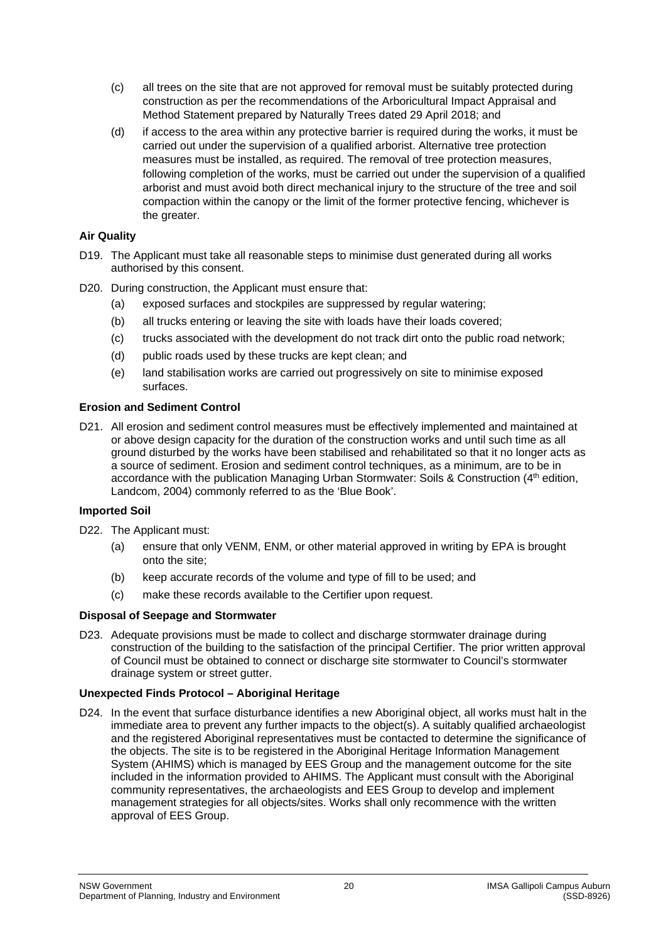- (c) all trees on the site that are not approved for removal must be suitably protected during construction as per the recommendations of the Arboricultural Impact Appraisal and Method Statement prepared by Naturally Trees dated 29 April 2018; and
- (d) if access to the area within any protective barrier is required during the works, it must be carried out under the supervision of a qualified arborist. Alternative tree protection measures must be installed, as required. The removal of tree protection measures, following completion of the works, must be carried out under the supervision of a qualified arborist and must avoid both direct mechanical injury to the structure of the tree and soil compaction within the canopy or the limit of the former protective fencing, whichever is the greater.

## **Air Quality**

- D19. The Applicant must take all reasonable steps to minimise dust generated during all works authorised by this consent.
- D20. During construction, the Applicant must ensure that:
	- (a) exposed surfaces and stockpiles are suppressed by regular watering;
	- (b) all trucks entering or leaving the site with loads have their loads covered;
	- (c) trucks associated with the development do not track dirt onto the public road network;
	- (d) public roads used by these trucks are kept clean; and
	- (e) land stabilisation works are carried out progressively on site to minimise exposed surfaces.

## **Erosion and Sediment Control**

D21. All erosion and sediment control measures must be effectively implemented and maintained at or above design capacity for the duration of the construction works and until such time as all ground disturbed by the works have been stabilised and rehabilitated so that it no longer acts as a source of sediment. Erosion and sediment control techniques, as a minimum, are to be in accordance with the publication Managing Urban Stormwater: Soils & Construction (4<sup>th</sup> edition, Landcom, 2004) commonly referred to as the 'Blue Book'.

## **Imported Soil**

- D22. The Applicant must:
	- (a) ensure that only VENM, ENM, or other material approved in writing by EPA is brought onto the site;
	- (b) keep accurate records of the volume and type of fill to be used; and
	- (c) make these records available to the Certifier upon request.

#### **Disposal of Seepage and Stormwater**

D23. Adequate provisions must be made to collect and discharge stormwater drainage during construction of the building to the satisfaction of the principal Certifier. The prior written approval of Council must be obtained to connect or discharge site stormwater to Council's stormwater drainage system or street gutter.

# **Unexpected Finds Protocol – Aboriginal Heritage**

D24. In the event that surface disturbance identifies a new Aboriginal object, all works must halt in the immediate area to prevent any further impacts to the object(s). A suitably qualified archaeologist and the registered Aboriginal representatives must be contacted to determine the significance of the objects. The site is to be registered in the Aboriginal Heritage Information Management System (AHIMS) which is managed by EES Group and the management outcome for the site included in the information provided to AHIMS. The Applicant must consult with the Aboriginal community representatives, the archaeologists and EES Group to develop and implement management strategies for all objects/sites. Works shall only recommence with the written approval of EES Group.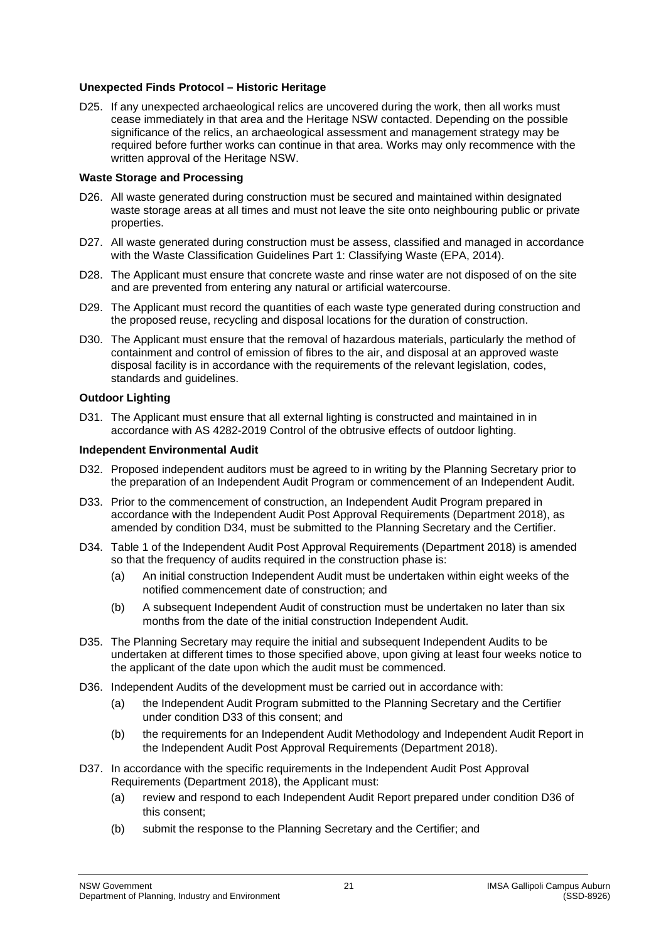## **Unexpected Finds Protocol – Historic Heritage**

D25. If any unexpected archaeological relics are uncovered during the work, then all works must cease immediately in that area and the Heritage NSW contacted. Depending on the possible significance of the relics, an archaeological assessment and management strategy may be required before further works can continue in that area. Works may only recommence with the written approval of the Heritage NSW.

#### **Waste Storage and Processing**

- D26. All waste generated during construction must be secured and maintained within designated waste storage areas at all times and must not leave the site onto neighbouring public or private properties.
- D27. All waste generated during construction must be assess, classified and managed in accordance with the Waste Classification Guidelines Part 1: Classifying Waste (EPA, 2014).
- D28. The Applicant must ensure that concrete waste and rinse water are not disposed of on the site and are prevented from entering any natural or artificial watercourse.
- D29. The Applicant must record the quantities of each waste type generated during construction and the proposed reuse, recycling and disposal locations for the duration of construction.
- D30. The Applicant must ensure that the removal of hazardous materials, particularly the method of containment and control of emission of fibres to the air, and disposal at an approved waste disposal facility is in accordance with the requirements of the relevant legislation, codes, standards and guidelines.

# **Outdoor Lighting**

D31. The Applicant must ensure that all external lighting is constructed and maintained in in accordance with AS 4282-2019 Control of the obtrusive effects of outdoor lighting.

#### **Independent Environmental Audit**

- D32. Proposed independent auditors must be agreed to in writing by the Planning Secretary prior to the preparation of an Independent Audit Program or commencement of an Independent Audit.
- <span id="page-20-2"></span>D33. Prior to the commencement of construction, an Independent Audit Program prepared in accordance with the Independent Audit Post Approval Requirements (Department 2018), as amended by condition [D34,](#page-20-1) must be submitted to the Planning Secretary and the Certifier.
- <span id="page-20-1"></span>D34. Table 1 of the Independent Audit Post Approval Requirements (Department 2018) is amended so that the frequency of audits required in the construction phase is:
	- (a) An initial construction Independent Audit must be undertaken within eight weeks of the notified commencement date of construction; and
	- (b) A subsequent Independent Audit of construction must be undertaken no later than six months from the date of the initial construction Independent Audit.
- D35. The Planning Secretary may require the initial and subsequent Independent Audits to be undertaken at different times to those specified above, upon giving at least four weeks notice to the applicant of the date upon which the audit must be commenced.
- <span id="page-20-0"></span>D36. Independent Audits of the development must be carried out in accordance with:
	- (a) the Independent Audit Program submitted to the Planning Secretary and the Certifier under condition [D33](#page-20-2) of this consent; and
	- (b) the requirements for an Independent Audit Methodology and Independent Audit Report in the Independent Audit Post Approval Requirements (Department 2018).
- D37. In accordance with the specific requirements in the Independent Audit Post Approval Requirements (Department 2018), the Applicant must:
	- (a) review and respond to each Independent Audit Report prepared under condition [D36](#page-20-0) of this consent;
	- (b) submit the response to the Planning Secretary and the Certifier; and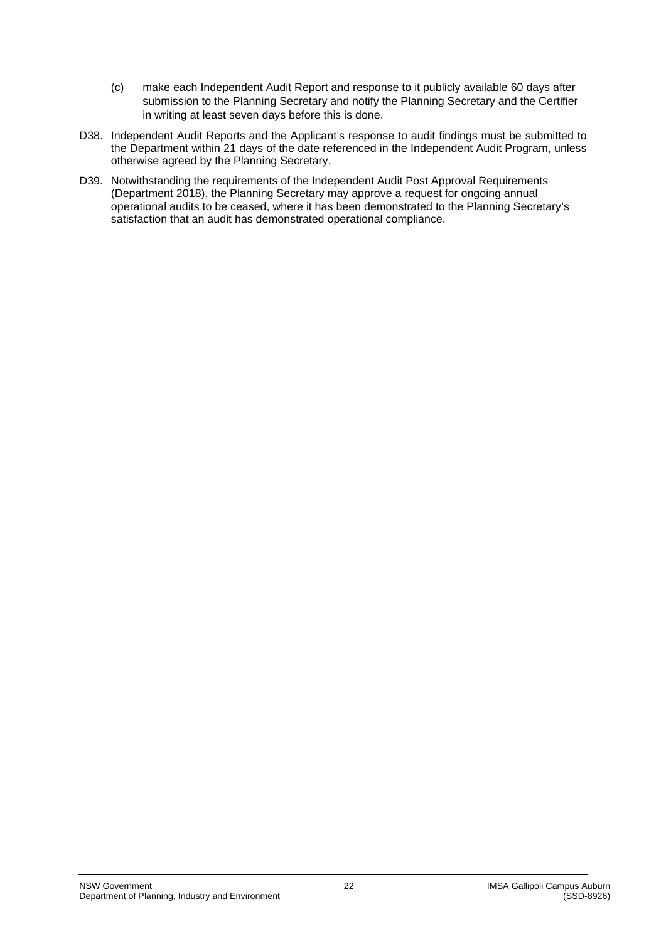- (c) make each Independent Audit Report and response to it publicly available 60 days after submission to the Planning Secretary and notify the Planning Secretary and the Certifier in writing at least seven days before this is done.
- D38. Independent Audit Reports and the Applicant's response to audit findings must be submitted to the Department within 21 days of the date referenced in the Independent Audit Program, unless otherwise agreed by the Planning Secretary.
- D39. Notwithstanding the requirements of the Independent Audit Post Approval Requirements (Department 2018), the Planning Secretary may approve a request for ongoing annual operational audits to be ceased, where it has been demonstrated to the Planning Secretary's satisfaction that an audit has demonstrated operational compliance.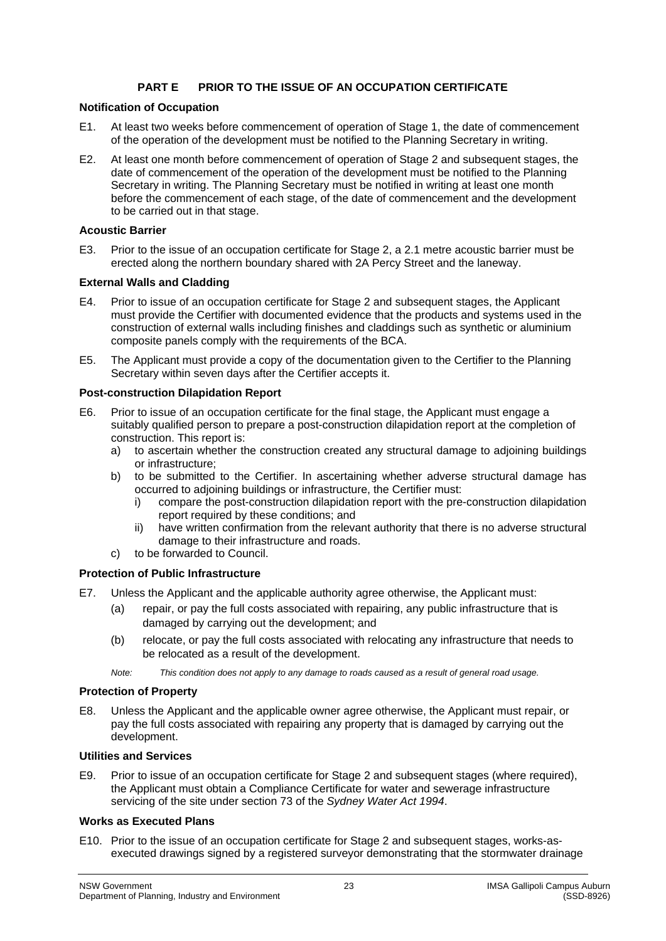# **PART E PRIOR TO THE ISSUE OF AN OCCUPATION CERTIFICATE**

## **Notification of Occupation**

- E1. At least two weeks before commencement of operation of Stage 1, the date of commencement of the operation of the development must be notified to the Planning Secretary in writing.
- E2. At least one month before commencement of operation of Stage 2 and subsequent stages, the date of commencement of the operation of the development must be notified to the Planning Secretary in writing. The Planning Secretary must be notified in writing at least one month before the commencement of each stage, of the date of commencement and the development to be carried out in that stage.

## **Acoustic Barrier**

E3. Prior to the issue of an occupation certificate for Stage 2, a 2.1 metre acoustic barrier must be erected along the northern boundary shared with 2A Percy Street and the laneway.

## **External Walls and Cladding**

- E4. Prior to issue of an occupation certificate for Stage 2 and subsequent stages, the Applicant must provide the Certifier with documented evidence that the products and systems used in the construction of external walls including finishes and claddings such as synthetic or aluminium composite panels comply with the requirements of the BCA.
- E5. The Applicant must provide a copy of the documentation given to the Certifier to the Planning Secretary within seven days after the Certifier accepts it.

#### **Post-construction Dilapidation Report**

- E6. Prior to issue of an occupation certificate for the final stage, the Applicant must engage a suitably qualified person to prepare a post-construction dilapidation report at the completion of construction. This report is:
	- a) to ascertain whether the construction created any structural damage to adjoining buildings or infrastructure;
	- b) to be submitted to the Certifier. In ascertaining whether adverse structural damage has occurred to adjoining buildings or infrastructure, the Certifier must:
		- i) compare the post-construction dilapidation report with the pre-construction dilapidation report required by these conditions; and
		- ii) have written confirmation from the relevant authority that there is no adverse structural damage to their infrastructure and roads.
	- c) to be forwarded to Council.

# **Protection of Public Infrastructure**

- E7. Unless the Applicant and the applicable authority agree otherwise, the Applicant must:
	- (a) repair, or pay the full costs associated with repairing, any public infrastructure that is damaged by carrying out the development; and
	- (b) relocate, or pay the full costs associated with relocating any infrastructure that needs to be relocated as a result of the development.
	- *Note: This condition does not apply to any damage to roads caused as a result of general road usage.*

#### **Protection of Property**

E8. Unless the Applicant and the applicable owner agree otherwise, the Applicant must repair, or pay the full costs associated with repairing any property that is damaged by carrying out the development.

#### **Utilities and Services**

E9. Prior to issue of an occupation certificate for Stage 2 and subsequent stages (where required), the Applicant must obtain a Compliance Certificate for water and sewerage infrastructure servicing of the site under section 73 of the *Sydney Water Act 1994*.

#### **Works as Executed Plans**

E10. Prior to the issue of an occupation certificate for Stage 2 and subsequent stages, works-asexecuted drawings signed by a registered surveyor demonstrating that the stormwater drainage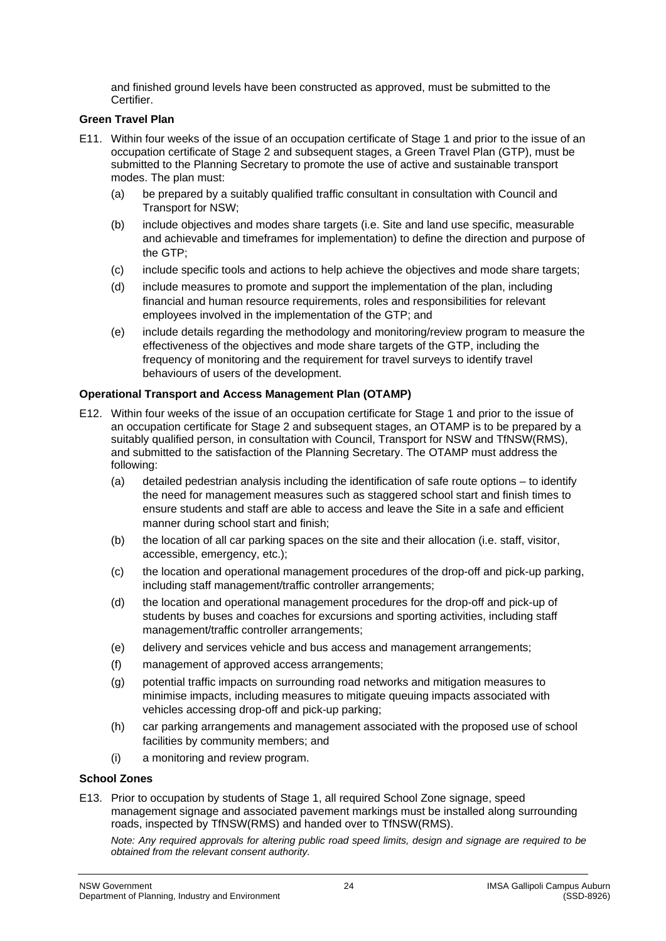and finished ground levels have been constructed as approved, must be submitted to the Certifier.

## **Green Travel Plan**

- <span id="page-23-1"></span>E11. Within four weeks of the issue of an occupation certificate of Stage 1 and prior to the issue of an occupation certificate of Stage 2 and subsequent stages, a Green Travel Plan (GTP), must be submitted to the Planning Secretary to promote the use of active and sustainable transport modes. The plan must:
	- (a) be prepared by a suitably qualified traffic consultant in consultation with Council and Transport for NSW;
	- (b) include objectives and modes share targets (i.e. Site and land use specific, measurable and achievable and timeframes for implementation) to define the direction and purpose of the GTP;
	- (c) include specific tools and actions to help achieve the objectives and mode share targets;
	- (d) include measures to promote and support the implementation of the plan, including financial and human resource requirements, roles and responsibilities for relevant employees involved in the implementation of the GTP; and
	- (e) include details regarding the methodology and monitoring/review program to measure the effectiveness of the objectives and mode share targets of the GTP, including the frequency of monitoring and the requirement for travel surveys to identify travel behaviours of users of the development.

# **Operational Transport and Access Management Plan (OTAMP)**

- <span id="page-23-0"></span>E12. Within four weeks of the issue of an occupation certificate for Stage 1 and prior to the issue of an occupation certificate for Stage 2 and subsequent stages, an OTAMP is to be prepared by a suitably qualified person, in consultation with Council, Transport for NSW and TfNSW(RMS), and submitted to the satisfaction of the Planning Secretary. The OTAMP must address the following:
	- (a) detailed pedestrian analysis including the identification of safe route options to identify the need for management measures such as staggered school start and finish times to ensure students and staff are able to access and leave the Site in a safe and efficient manner during school start and finish;
	- (b) the location of all car parking spaces on the site and their allocation (i.e. staff, visitor, accessible, emergency, etc.);
	- (c) the location and operational management procedures of the drop-off and pick-up parking, including staff management/traffic controller arrangements;
	- (d) the location and operational management procedures for the drop-off and pick-up of students by buses and coaches for excursions and sporting activities, including staff management/traffic controller arrangements;
	- (e) delivery and services vehicle and bus access and management arrangements;
	- (f) management of approved access arrangements;
	- (g) potential traffic impacts on surrounding road networks and mitigation measures to minimise impacts, including measures to mitigate queuing impacts associated with vehicles accessing drop-off and pick-up parking;
	- (h) car parking arrangements and management associated with the proposed use of school facilities by community members; and
	- (i) a monitoring and review program.

## **School Zones**

E13. Prior to occupation by students of Stage 1, all required School Zone signage, speed management signage and associated pavement markings must be installed along surrounding roads, inspected by TfNSW(RMS) and handed over to TfNSW(RMS).

*Note: Any required approvals for altering public road speed limits, design and signage are required to be obtained from the relevant consent authority.*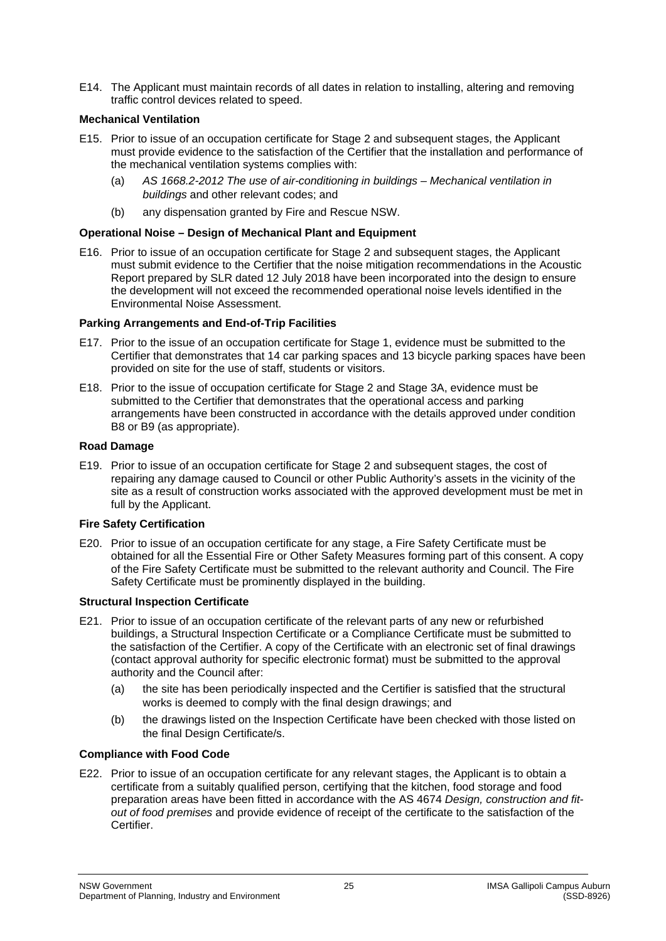E14. The Applicant must maintain records of all dates in relation to installing, altering and removing traffic control devices related to speed.

## **Mechanical Ventilation**

- E15. Prior to issue of an occupation certificate for Stage 2 and subsequent stages, the Applicant must provide evidence to the satisfaction of the Certifier that the installation and performance of the mechanical ventilation systems complies with:
	- (a) *AS 1668.2-2012 The use of air-conditioning in buildings – Mechanical ventilation in buildings* and other relevant codes; and
	- (b) any dispensation granted by Fire and Rescue NSW.

## **Operational Noise – Design of Mechanical Plant and Equipment**

E16. Prior to issue of an occupation certificate for Stage 2 and subsequent stages, the Applicant must submit evidence to the Certifier that the noise mitigation recommendations in the Acoustic Report prepared by SLR dated 12 July 2018 have been incorporated into the design to ensure the development will not exceed the recommended operational noise levels identified in the Environmental Noise Assessment.

## **Parking Arrangements and End-of-Trip Facilities**

- E17. Prior to the issue of an occupation certificate for Stage 1, evidence must be submitted to the Certifier that demonstrates that 14 car parking spaces and 13 bicycle parking spaces have been provided on site for the use of staff, students or visitors.
- E18. Prior to the issue of occupation certificate for Stage 2 and Stage 3A, evidence must be submitted to the Certifier that demonstrates that the operational access and parking arrangements have been constructed in accordance with the details approved under condition [B8](#page-9-0) or [B9](#page-10-0) (as appropriate).

#### **Road Damage**

E19. Prior to issue of an occupation certificate for Stage 2 and subsequent stages, the cost of repairing any damage caused to Council or other Public Authority's assets in the vicinity of the site as a result of construction works associated with the approved development must be met in full by the Applicant.

#### **Fire Safety Certification**

E20. Prior to issue of an occupation certificate for any stage, a Fire Safety Certificate must be obtained for all the Essential Fire or Other Safety Measures forming part of this consent. A copy of the Fire Safety Certificate must be submitted to the relevant authority and Council. The Fire Safety Certificate must be prominently displayed in the building.

# **Structural Inspection Certificate**

- E21. Prior to issue of an occupation certificate of the relevant parts of any new or refurbished buildings, a Structural Inspection Certificate or a Compliance Certificate must be submitted to the satisfaction of the Certifier. A copy of the Certificate with an electronic set of final drawings (contact approval authority for specific electronic format) must be submitted to the approval authority and the Council after:
	- (a) the site has been periodically inspected and the Certifier is satisfied that the structural works is deemed to comply with the final design drawings; and
	- (b) the drawings listed on the Inspection Certificate have been checked with those listed on the final Design Certificate/s.

# **Compliance with Food Code**

E22. Prior to issue of an occupation certificate for any relevant stages, the Applicant is to obtain a certificate from a suitably qualified person, certifying that the kitchen, food storage and food preparation areas have been fitted in accordance with the AS 4674 *Design, construction and fitout of food premises* and provide evidence of receipt of the certificate to the satisfaction of the Certifier.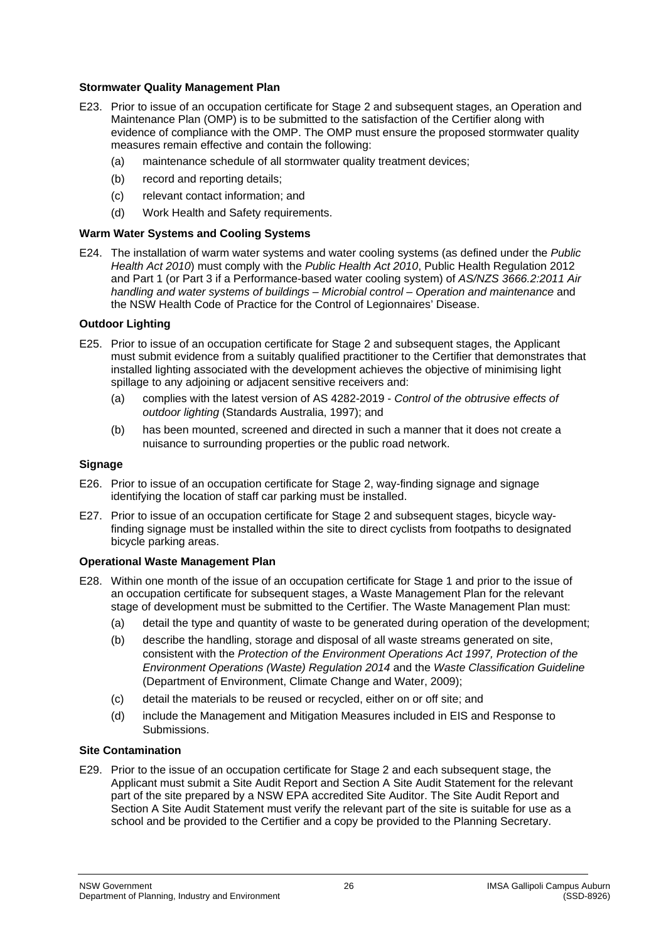## **Stormwater Quality Management Plan**

- E23. Prior to issue of an occupation certificate for Stage 2 and subsequent stages, an Operation and Maintenance Plan (OMP) is to be submitted to the satisfaction of the Certifier along with evidence of compliance with the OMP. The OMP must ensure the proposed stormwater quality measures remain effective and contain the following:
	- (a) maintenance schedule of all stormwater quality treatment devices;
	- (b) record and reporting details;
	- (c) relevant contact information; and
	- (d) Work Health and Safety requirements.

## **Warm Water Systems and Cooling Systems**

E24. The installation of warm water systems and water cooling systems (as defined under the *Public Health Act 2010*) must comply with the *Public Health Act 2010*, Public Health Regulation 2012 and Part 1 (or Part 3 if a Performance-based water cooling system) of *AS/NZS 3666.2:2011 Air handling and water systems of buildings – Microbial control – Operation and maintenance* and the NSW Health Code of Practice for the Control of Legionnaires' Disease.

## **Outdoor Lighting**

- <span id="page-25-0"></span>E25. Prior to issue of an occupation certificate for Stage 2 and subsequent stages, the Applicant must submit evidence from a suitably qualified practitioner to the Certifier that demonstrates that installed lighting associated with the development achieves the objective of minimising light spillage to any adjoining or adjacent sensitive receivers and:
	- (a) complies with the latest version of AS 4282-2019 *Control of the obtrusive effects of outdoor lighting* (Standards Australia, 1997); and
	- (b) has been mounted, screened and directed in such a manner that it does not create a nuisance to surrounding properties or the public road network.

## **Signage**

- E26. Prior to issue of an occupation certificate for Stage 2, way-finding signage and signage identifying the location of staff car parking must be installed.
- E27. Prior to issue of an occupation certificate for Stage 2 and subsequent stages, bicycle wayfinding signage must be installed within the site to direct cyclists from footpaths to designated bicycle parking areas.

#### **Operational Waste Management Plan**

- <span id="page-25-1"></span>E28. Within one month of the issue of an occupation certificate for Stage 1 and prior to the issue of an occupation certificate for subsequent stages, a Waste Management Plan for the relevant stage of development must be submitted to the Certifier. The Waste Management Plan must:
	- (a) detail the type and quantity of waste to be generated during operation of the development;
	- (b) describe the handling, storage and disposal of all waste streams generated on site, consistent with the *Protection of the Environment Operations Act 1997, Protection of the Environment Operations (Waste) Regulation 2014* and the *Waste Classification Guideline* (Department of Environment, Climate Change and Water, 2009);
	- (c) detail the materials to be reused or recycled, either on or off site; and
	- (d) include the Management and Mitigation Measures included in EIS and Response to Submissions.

#### **Site Contamination**

E29. Prior to the issue of an occupation certificate for Stage 2 and each subsequent stage, the Applicant must submit a Site Audit Report and Section A Site Audit Statement for the relevant part of the site prepared by a NSW EPA accredited Site Auditor. The Site Audit Report and Section A Site Audit Statement must verify the relevant part of the site is suitable for use as a school and be provided to the Certifier and a copy be provided to the Planning Secretary.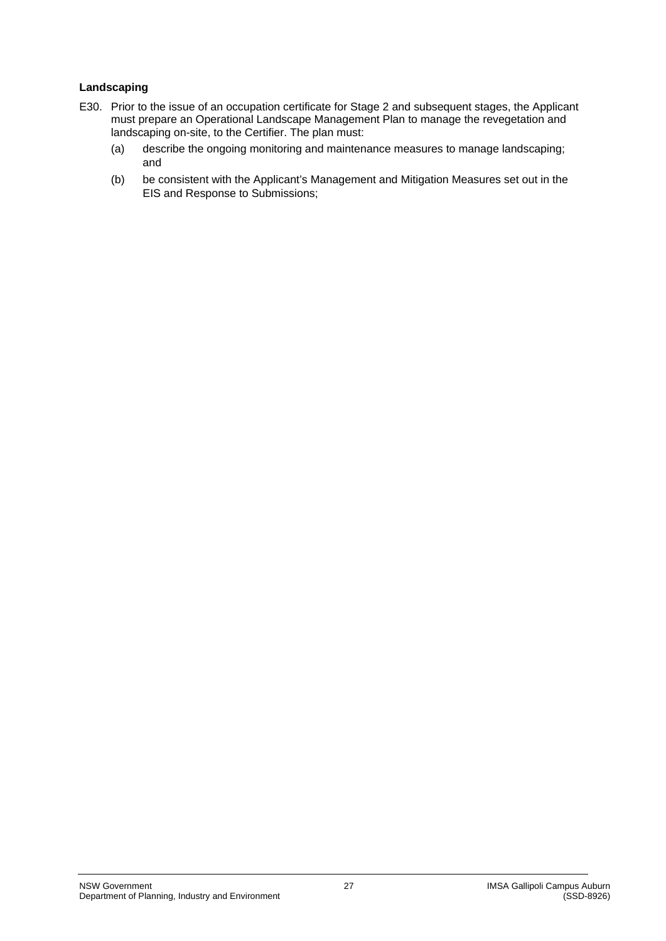# **Landscaping**

- <span id="page-26-0"></span>E30. Prior to the issue of an occupation certificate for Stage 2 and subsequent stages, the Applicant must prepare an Operational Landscape Management Plan to manage the revegetation and landscaping on-site, to the Certifier. The plan must:
	- (a) describe the ongoing monitoring and maintenance measures to manage landscaping; and
	- (b) be consistent with the Applicant's Management and Mitigation Measures set out in the EIS and Response to Submissions;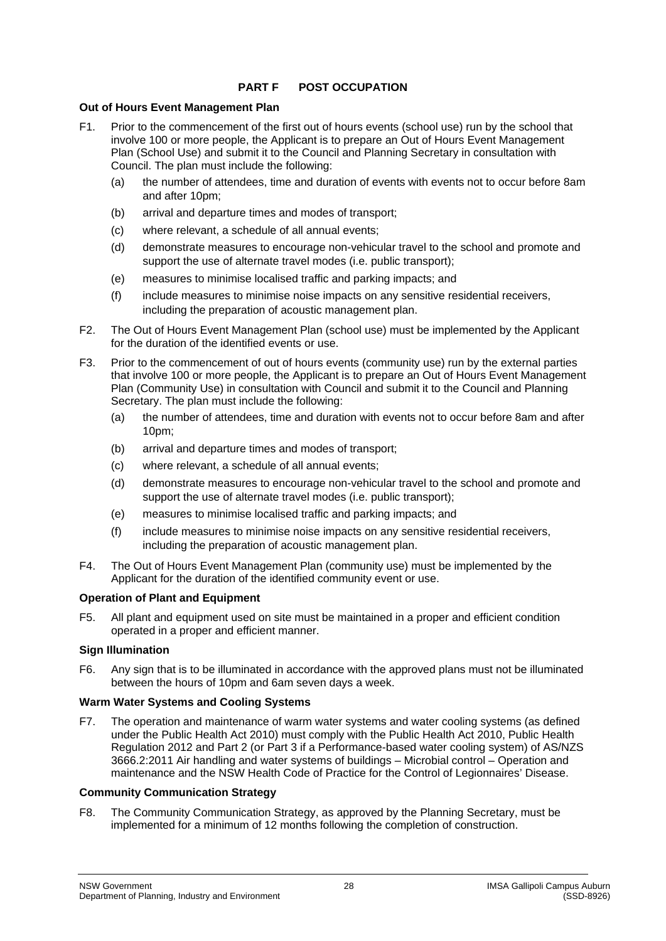# **PART F POST OCCUPATION**

## **Out of Hours Event Management Plan**

- F1. Prior to the commencement of the first out of hours events (school use) run by the school that involve 100 or more people, the Applicant is to prepare an Out of Hours Event Management Plan (School Use) and submit it to the Council and Planning Secretary in consultation with Council. The plan must include the following:
	- (a) the number of attendees, time and duration of events with events not to occur before 8am and after 10pm;
	- (b) arrival and departure times and modes of transport;
	- (c) where relevant, a schedule of all annual events;
	- (d) demonstrate measures to encourage non-vehicular travel to the school and promote and support the use of alternate travel modes (i.e. public transport);
	- (e) measures to minimise localised traffic and parking impacts; and
	- (f) include measures to minimise noise impacts on any sensitive residential receivers, including the preparation of acoustic management plan.
- F2. The Out of Hours Event Management Plan (school use) must be implemented by the Applicant for the duration of the identified events or use.
- F3. Prior to the commencement of out of hours events (community use) run by the external parties that involve 100 or more people, the Applicant is to prepare an Out of Hours Event Management Plan (Community Use) in consultation with Council and submit it to the Council and Planning Secretary. The plan must include the following:
	- (a) the number of attendees, time and duration with events not to occur before 8am and after 10pm;
	- (b) arrival and departure times and modes of transport;
	- (c) where relevant, a schedule of all annual events;
	- (d) demonstrate measures to encourage non-vehicular travel to the school and promote and support the use of alternate travel modes (i.e. public transport);
	- (e) measures to minimise localised traffic and parking impacts; and
	- (f) include measures to minimise noise impacts on any sensitive residential receivers, including the preparation of acoustic management plan.
- F4. The Out of Hours Event Management Plan (community use) must be implemented by the Applicant for the duration of the identified community event or use.

# **Operation of Plant and Equipment**

F5. All plant and equipment used on site must be maintained in a proper and efficient condition operated in a proper and efficient manner.

#### **Sign Illumination**

F6. Any sign that is to be illuminated in accordance with the approved plans must not be illuminated between the hours of 10pm and 6am seven days a week.

#### **Warm Water Systems and Cooling Systems**

F7. The operation and maintenance of warm water systems and water cooling systems (as defined under the Public Health Act 2010) must comply with the Public Health Act 2010, Public Health Regulation 2012 and Part 2 (or Part 3 if a Performance-based water cooling system) of AS/NZS 3666.2:2011 Air handling and water systems of buildings – Microbial control – Operation and maintenance and the NSW Health Code of Practice for the Control of Legionnaires' Disease.

#### **Community Communication Strategy**

F8. The Community Communication Strategy, as approved by the Planning Secretary, must be implemented for a minimum of 12 months following the completion of construction.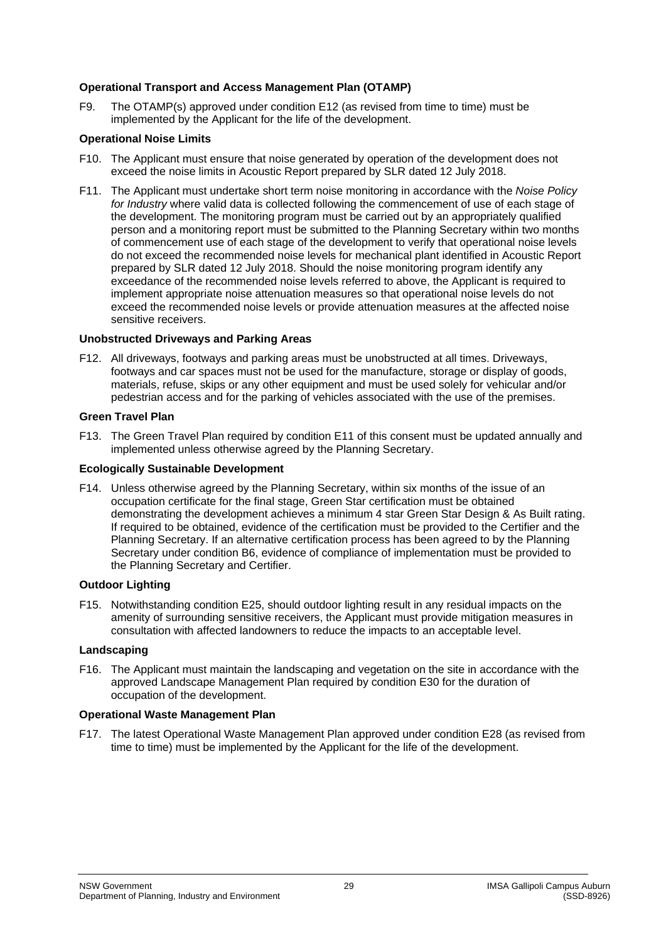## **Operational Transport and Access Management Plan (OTAMP)**

F9. The OTAMP(s) approved under condition [E12](#page-23-0) (as revised from time to time) must be implemented by the Applicant for the life of the development.

## **Operational Noise Limits**

- F10. The Applicant must ensure that noise generated by operation of the development does not exceed the noise limits in Acoustic Report prepared by SLR dated 12 July 2018.
- F11. The Applicant must undertake short term noise monitoring in accordance with the *Noise Policy for Industry* where valid data is collected following the commencement of use of each stage of the development. The monitoring program must be carried out by an appropriately qualified person and a monitoring report must be submitted to the Planning Secretary within two months of commencement use of each stage of the development to verify that operational noise levels do not exceed the recommended noise levels for mechanical plant identified in Acoustic Report prepared by SLR dated 12 July 2018. Should the noise monitoring program identify any exceedance of the recommended noise levels referred to above, the Applicant is required to implement appropriate noise attenuation measures so that operational noise levels do not exceed the recommended noise levels or provide attenuation measures at the affected noise sensitive receivers.

#### **Unobstructed Driveways and Parking Areas**

F12. All driveways, footways and parking areas must be unobstructed at all times. Driveways, footways and car spaces must not be used for the manufacture, storage or display of goods, materials, refuse, skips or any other equipment and must be used solely for vehicular and/or pedestrian access and for the parking of vehicles associated with the use of the premises.

#### **Green Travel Plan**

F13. The Green Travel Plan required by condition [E11](#page-23-1) of this consent must be updated annually and implemented unless otherwise agreed by the Planning Secretary.

## **Ecologically Sustainable Development**

F14. Unless otherwise agreed by the Planning Secretary, within six months of the issue of an occupation certificate for the final stage, Green Star certification must be obtained demonstrating the development achieves a minimum 4 star Green Star Design & As Built rating. If required to be obtained, evidence of the certification must be provided to the Certifier and the Planning Secretary. If an alternative certification process has been agreed to by the Planning Secretary under condition [B6,](#page-9-1) evidence of compliance of implementation must be provided to the Planning Secretary and Certifier.

## **Outdoor Lighting**

F15. Notwithstanding condition [E25,](#page-25-0) should outdoor lighting result in any residual impacts on the amenity of surrounding sensitive receivers, the Applicant must provide mitigation measures in consultation with affected landowners to reduce the impacts to an acceptable level.

#### **Landscaping**

F16. The Applicant must maintain the landscaping and vegetation on the site in accordance with the approved Landscape Management Plan required by condition [E30](#page-26-0) for the duration of occupation of the development.

#### **Operational Waste Management Plan**

<span id="page-28-0"></span>F17. The latest Operational Waste Management Plan approved under condition [E28](#page-25-1) (as revised from time to time) must be implemented by the Applicant for the life of the development.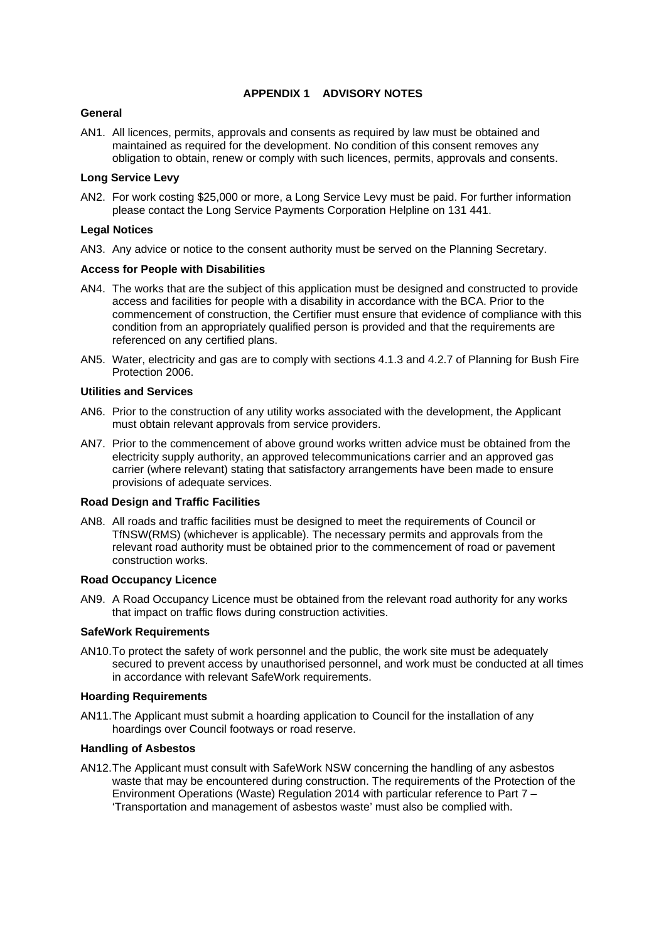## **APPENDIX 1 ADVISORY NOTES**

#### **General**

AN1. All licences, permits, approvals and consents as required by law must be obtained and maintained as required for the development. No condition of this consent removes any obligation to obtain, renew or comply with such licences, permits, approvals and consents.

#### **Long Service Levy**

AN2. For work costing \$25,000 or more, a Long Service Levy must be paid. For further information please contact the Long Service Payments Corporation Helpline on 131 441.

#### **Legal Notices**

AN3. Any advice or notice to the consent authority must be served on the Planning Secretary.

#### **Access for People with Disabilities**

- AN4. The works that are the subject of this application must be designed and constructed to provide access and facilities for people with a disability in accordance with the BCA. Prior to the commencement of construction, the Certifier must ensure that evidence of compliance with this condition from an appropriately qualified person is provided and that the requirements are referenced on any certified plans.
- AN5. Water, electricity and gas are to comply with sections 4.1.3 and 4.2.7 of Planning for Bush Fire Protection 2006.

#### **Utilities and Services**

- AN6. Prior to the construction of any utility works associated with the development, the Applicant must obtain relevant approvals from service providers.
- AN7. Prior to the commencement of above ground works written advice must be obtained from the electricity supply authority, an approved telecommunications carrier and an approved gas carrier (where relevant) stating that satisfactory arrangements have been made to ensure provisions of adequate services.

#### **Road Design and Traffic Facilities**

AN8. All roads and traffic facilities must be designed to meet the requirements of Council or TfNSW(RMS) (whichever is applicable). The necessary permits and approvals from the relevant road authority must be obtained prior to the commencement of road or pavement construction works.

#### **Road Occupancy Licence**

AN9. A Road Occupancy Licence must be obtained from the relevant road authority for any works that impact on traffic flows during construction activities.

#### **SafeWork Requirements**

AN10.To protect the safety of work personnel and the public, the work site must be adequately secured to prevent access by unauthorised personnel, and work must be conducted at all times in accordance with relevant SafeWork requirements.

#### **Hoarding Requirements**

AN11.The Applicant must submit a hoarding application to Council for the installation of any hoardings over Council footways or road reserve.

#### **Handling of Asbestos**

AN12.The Applicant must consult with SafeWork NSW concerning the handling of any asbestos waste that may be encountered during construction. The requirements of the Protection of the Environment Operations (Waste) Regulation 2014 with particular reference to Part 7 – 'Transportation and management of asbestos waste' must also be complied with.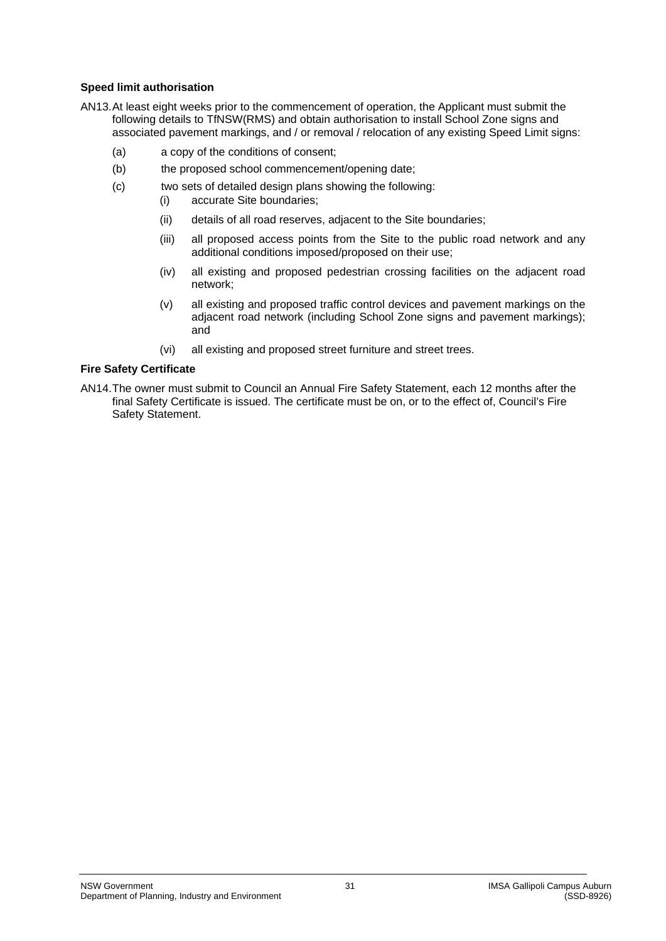## **Speed limit authorisation**

- AN13.At least eight weeks prior to the commencement of operation, the Applicant must submit the following details to TfNSW(RMS) and obtain authorisation to install School Zone signs and associated pavement markings, and / or removal / relocation of any existing Speed Limit signs:
	- (a) a copy of the conditions of consent;
	- (b) the proposed school commencement/opening date;
	- (c) two sets of detailed design plans showing the following:
		- (i) accurate Site boundaries;
		- (ii) details of all road reserves, adjacent to the Site boundaries;
		- (iii) all proposed access points from the Site to the public road network and any additional conditions imposed/proposed on their use;
		- (iv) all existing and proposed pedestrian crossing facilities on the adjacent road network;
		- (v) all existing and proposed traffic control devices and pavement markings on the adjacent road network (including School Zone signs and pavement markings); and
		- (vi) all existing and proposed street furniture and street trees.

## **Fire Safety Certificate**

AN14.The owner must submit to Council an Annual Fire Safety Statement, each 12 months after the final Safety Certificate is issued. The certificate must be on, or to the effect of, Council's Fire Safety Statement.